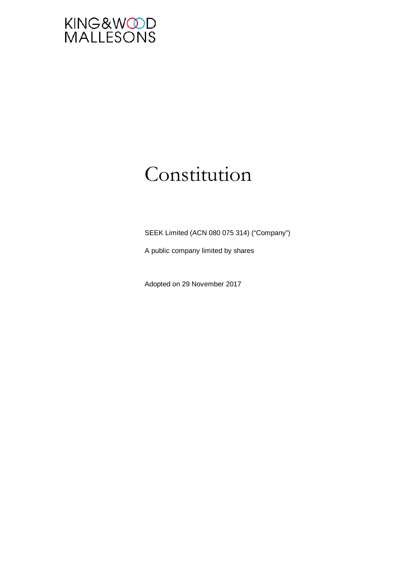

# Constitution

SEEK Limited (ACN 080 075 314) ("Company")

A public company limited by shares

Adopted on 29 November 2017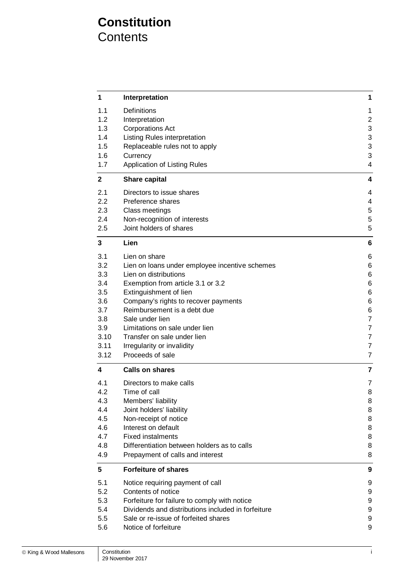## **Constitution Contents**

| 1            | Interpretation                                     | 1                       |
|--------------|----------------------------------------------------|-------------------------|
| 1.1          | Definitions                                        | 1                       |
| 1.2          | Interpretation                                     | $\overline{\mathbf{c}}$ |
| 1.3          | <b>Corporations Act</b>                            | 3                       |
| 1.4          | Listing Rules interpretation                       | 3                       |
| 1.5          | Replaceable rules not to apply                     | 3                       |
| 1.6          | Currency                                           | 3                       |
| 1.7          | Application of Listing Rules                       | 4                       |
| $\mathbf{2}$ | <b>Share capital</b>                               | 4                       |
| 2.1          | Directors to issue shares                          | 4                       |
| 2.2          | Preference shares                                  | 4                       |
| 2.3          | Class meetings                                     | 5                       |
| 2.4          | Non-recognition of interests                       | 5                       |
| 2.5          | Joint holders of shares                            | 5                       |
| 3            | Lien                                               | 6                       |
| 3.1          | Lien on share                                      | 6                       |
| 3.2          | Lien on loans under employee incentive schemes     | 6                       |
| 3.3          | Lien on distributions                              | 6                       |
| 3.4          | Exemption from article 3.1 or 3.2                  | 6                       |
| 3.5          | Extinguishment of lien                             | 6                       |
| 3.6          | Company's rights to recover payments               | 6                       |
| 3.7          | Reimbursement is a debt due                        | 6                       |
| 3.8          | Sale under lien                                    | 7                       |
| 3.9          | Limitations on sale under lien                     | $\overline{7}$          |
| 3.10         | Transfer on sale under lien                        | $\overline{7}$          |
| 3.11         | Irregularity or invalidity                         | $\overline{7}$          |
| 3.12         | Proceeds of sale                                   | $\overline{7}$          |
| 4            | <b>Calls on shares</b>                             | 7                       |
| 4.1          | Directors to make calls                            | $\overline{7}$          |
| 4.2          | Time of call                                       | 8                       |
| 4.3          | Members' liability                                 | 8                       |
| 4.4          | Joint holders' liability                           | 8                       |
| 4.5          | Non-receipt of notice                              | 8                       |
| 4.6          | Interest on default                                | 8                       |
| 4.7          | <b>Fixed instalments</b>                           | 8                       |
| 4.8          | Differentiation between holders as to calls        | 8                       |
| 4.9          | Prepayment of calls and interest                   | 8                       |
| 5            | <b>Forfeiture of shares</b>                        | 9                       |
| 5.1          | Notice requiring payment of call                   | 9                       |
| 5.2          | Contents of notice                                 | 9                       |
| 5.3          | Forfeiture for failure to comply with notice       | 9                       |
| 5.4          | Dividends and distributions included in forfeiture | 9                       |
| 5.5          | Sale or re-issue of forfeited shares               | 9                       |
| 5.6          | Notice of forfeiture                               | 9                       |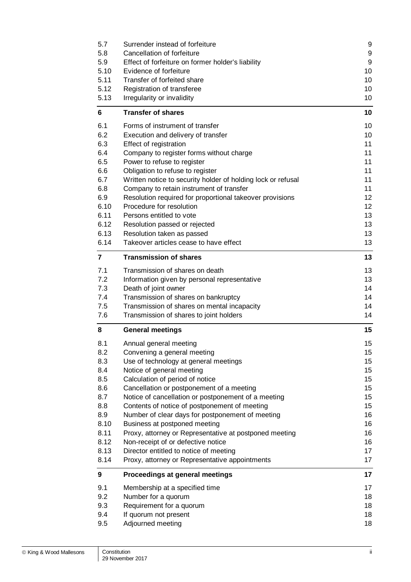| 5.8            | Surrender instead of forfeiture<br>Cancellation of forfeiture                            | 9<br>9           |
|----------------|------------------------------------------------------------------------------------------|------------------|
| 5.9<br>5.10    | Effect of forfeiture on former holder's liability<br>Evidence of forfeiture              | 9<br>10          |
| 5.11           | Transfer of forfeited share                                                              | 10               |
| 5.12           | Registration of transferee                                                               | 10               |
| 5.13           | Irregularity or invalidity                                                               | 10               |
| 6              | <b>Transfer of shares</b>                                                                | 10               |
| 6.1            | Forms of instrument of transfer                                                          | 10               |
| 6.2            | Execution and delivery of transfer                                                       | 10               |
| 6.3            | Effect of registration                                                                   | 11               |
| 6.4            | Company to register forms without charge                                                 | 11               |
| 6.5<br>6.6     | Power to refuse to register<br>Obligation to refuse to register                          | 11<br>11         |
| 6.7            | Written notice to security holder of holding lock or refusal                             | 11               |
| 6.8            | Company to retain instrument of transfer                                                 | 11               |
| 6.9            | Resolution required for proportional takeover provisions                                 | 12               |
| 6.10           | Procedure for resolution                                                                 | 12               |
| 6.11           | Persons entitled to vote                                                                 | 13               |
| 6.12           | Resolution passed or rejected                                                            | 13               |
| 6.13           | Resolution taken as passed                                                               | 13               |
| 6.14           | Takeover articles cease to have effect                                                   | 13               |
| $\overline{7}$ | <b>Transmission of shares</b>                                                            | 13               |
| 7.1            | Transmission of shares on death                                                          | 13               |
| 7.2            | Information given by personal representative                                             | 13               |
| 7.3            | Death of joint owner                                                                     | 14               |
| 7.4            | Transmission of shares on bankruptcy                                                     | 14               |
| 7.5            | Transmission of shares on mental incapacity                                              | 14               |
|                | Transmission of shares to joint holders                                                  | 14               |
| 7.6            |                                                                                          |                  |
| 8              | <b>General meetings</b>                                                                  | 15               |
| 8.1            | Annual general meeting                                                                   | 15               |
| 8.2            | Convening a general meeting                                                              | 15               |
| 8.3            | Use of technology at general meetings                                                    | 15               |
| 8.4            | Notice of general meeting                                                                | 15 <sub>15</sub> |
| 8.5            | Calculation of period of notice                                                          | 15               |
| 8.6            | Cancellation or postponement of a meeting                                                | 15               |
| 8.7            | Notice of cancellation or postponement of a meeting                                      | 15 <sub>15</sub> |
| 8.8            | Contents of notice of postponement of meeting                                            | 15               |
| 8.9            | Number of clear days for postponement of meeting                                         | 16               |
| 8.10           | Business at postponed meeting                                                            | 16               |
| 8.11           | Proxy, attorney or Representative at postponed meeting                                   | 16               |
| 8.12           | Non-receipt of or defective notice                                                       | 16               |
| 8.13<br>8.14   | Director entitled to notice of meeting<br>Proxy, attorney or Representative appointments | 17<br>17         |
| 9              | Proceedings at general meetings                                                          | 17               |
| 9.1            | Membership at a specified time                                                           | 17               |
| 9.2            | Number for a quorum                                                                      | 18               |
| 9.3            | Requirement for a quorum                                                                 | 18               |
| 9.4            | If quorum not present                                                                    | 18               |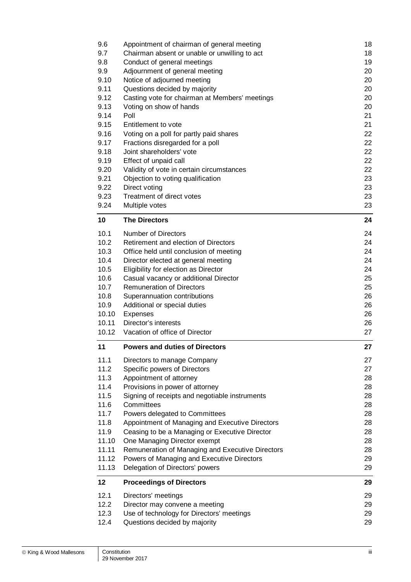| 9.6   | Appointment of chairman of general meeting       | 18 |
|-------|--------------------------------------------------|----|
| 9.7   | Chairman absent or unable or unwilling to act    | 18 |
| 9.8   | Conduct of general meetings                      | 19 |
| 9.9   | Adjournment of general meeting                   | 20 |
| 9.10  | Notice of adjourned meeting                      | 20 |
| 9.11  | Questions decided by majority                    | 20 |
| 9.12  | Casting vote for chairman at Members' meetings   | 20 |
| 9.13  | Voting on show of hands                          | 20 |
| 9.14  | Poll                                             | 21 |
| 9.15  | Entitlement to vote                              | 21 |
| 9.16  | Voting on a poll for partly paid shares          | 22 |
| 9.17  | Fractions disregarded for a poll                 | 22 |
| 9.18  | Joint shareholders' vote                         | 22 |
| 9.19  | Effect of unpaid call                            | 22 |
| 9.20  | Validity of vote in certain circumstances        | 22 |
| 9.21  | Objection to voting qualification                | 23 |
| 9.22  | Direct voting                                    | 23 |
| 9.23  | Treatment of direct votes                        | 23 |
| 9.24  | Multiple votes                                   | 23 |
| 10    | <b>The Directors</b>                             | 24 |
|       |                                                  |    |
| 10.1  | <b>Number of Directors</b>                       | 24 |
| 10.2  | Retirement and election of Directors             | 24 |
| 10.3  | Office held until conclusion of meeting          | 24 |
| 10.4  | Director elected at general meeting              | 24 |
| 10.5  | Eligibility for election as Director             | 24 |
| 10.6  | Casual vacancy or additional Director            | 25 |
| 10.7  | <b>Remuneration of Directors</b>                 | 25 |
| 10.8  | Superannuation contributions                     | 26 |
| 10.9  | Additional or special duties                     | 26 |
| 10.10 | <b>Expenses</b>                                  | 26 |
| 10.11 | Director's interests                             | 26 |
| 10.12 | Vacation of office of Director                   | 27 |
| 11    | <b>Powers and duties of Directors</b>            | 27 |
| 11.1  | Directors to manage Company                      | 27 |
| 11.2  | Specific powers of Directors                     | 27 |
| 11.3  | Appointment of attorney                          | 28 |
| 11.4  | Provisions in power of attorney                  | 28 |
| 11.5  | Signing of receipts and negotiable instruments   | 28 |
| 11.6  | Committees                                       | 28 |
| 11.7  | Powers delegated to Committees                   | 28 |
| 11.8  | Appointment of Managing and Executive Directors  | 28 |
| 11.9  | Ceasing to be a Managing or Executive Director   | 28 |
| 11.10 | One Managing Director exempt                     | 28 |
| 11.11 | Remuneration of Managing and Executive Directors | 28 |
| 11.12 | Powers of Managing and Executive Directors       | 29 |
| 11.13 | Delegation of Directors' powers                  | 29 |
| 12    | <b>Proceedings of Directors</b>                  | 29 |
|       |                                                  |    |
| 12.1  | Directors' meetings                              | 29 |
| 12.2  | Director may convene a meeting                   | 29 |
| 12.3  | Use of technology for Directors' meetings        | 29 |
| 12.4  | Questions decided by majority                    | 29 |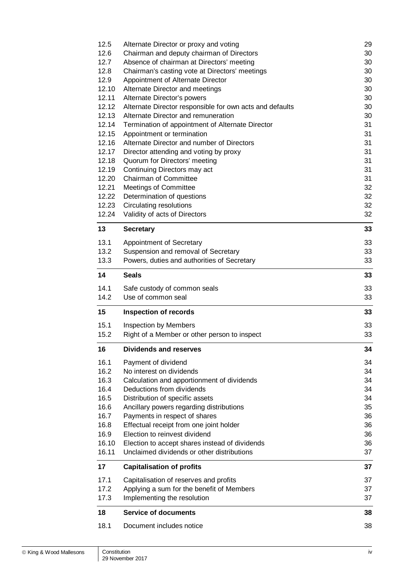| 12.5           | Alternate Director or proxy and voting                                  | 29       |
|----------------|-------------------------------------------------------------------------|----------|
| 12.6           | Chairman and deputy chairman of Directors                               | 30       |
| 12.7           | Absence of chairman at Directors' meeting                               | 30       |
| 12.8           | Chairman's casting vote at Directors' meetings                          | 30       |
| 12.9           | Appointment of Alternate Director                                       | 30       |
| 12.10          | Alternate Director and meetings                                         | 30       |
| 12.11          | Alternate Director's powers                                             | 30       |
| 12.12          | Alternate Director responsible for own acts and defaults                | 30       |
| 12.13          | Alternate Director and remuneration                                     | 30       |
| 12.14          | Termination of appointment of Alternate Director                        | 31       |
| 12.15<br>12.16 | Appointment or termination                                              | 31<br>31 |
| 12.17          | Alternate Director and number of Directors                              | 31       |
| 12.18          | Director attending and voting by proxy<br>Quorum for Directors' meeting | 31       |
| 12.19          | Continuing Directors may act                                            | 31       |
| 12.20          | <b>Chairman of Committee</b>                                            | 31       |
| 12.21          | <b>Meetings of Committee</b>                                            | 32       |
| 12.22          | Determination of questions                                              | 32       |
| 12.23          | Circulating resolutions                                                 | 32       |
| 12.24          | Validity of acts of Directors                                           | 32       |
|                |                                                                         |          |
| 13             | <b>Secretary</b>                                                        | 33       |
| 13.1           | Appointment of Secretary                                                | 33       |
| 13.2           | Suspension and removal of Secretary                                     | 33       |
| 13.3           | Powers, duties and authorities of Secretary                             | 33       |
| 14             | <b>Seals</b>                                                            | 33       |
|                |                                                                         |          |
|                |                                                                         |          |
| 14.1<br>14.2   | Safe custody of common seals<br>Use of common seal                      | 33<br>33 |
| 15             |                                                                         | 33       |
|                | <b>Inspection of records</b>                                            |          |
| 15.1           | Inspection by Members                                                   | 33       |
| 15.2           | Right of a Member or other person to inspect                            | 33       |
| 16             | <b>Dividends and reserves</b>                                           | 34       |
| 16.1           | Payment of dividend                                                     | 34       |
| 16.2           | No interest on dividends                                                | 34       |
| 16.3           | Calculation and apportionment of dividends                              |          |
| 16.4           | Deductions from dividends                                               | 34       |
| 16.5           | Distribution of specific assets                                         | 34       |
| 16.6           | Ancillary powers regarding distributions                                | 35       |
| 16.7           | Payments in respect of shares                                           | 36       |
| 16.8           | Effectual receipt from one joint holder                                 | 34<br>36 |
| 16.9           | Election to reinvest dividend                                           | 36       |
| 16.10          | Election to accept shares instead of dividends                          | 36       |
| 16.11          | Unclaimed dividends or other distributions                              | 37       |
| 17             | <b>Capitalisation of profits</b>                                        | 37       |
| 17.1           | Capitalisation of reserves and profits                                  | 37       |
| 17.2           | Applying a sum for the benefit of Members                               | 37       |
| 17.3           | Implementing the resolution                                             | 37       |
| 18             | <b>Service of documents</b>                                             | 38       |
| 18.1           | Document includes notice                                                | 38       |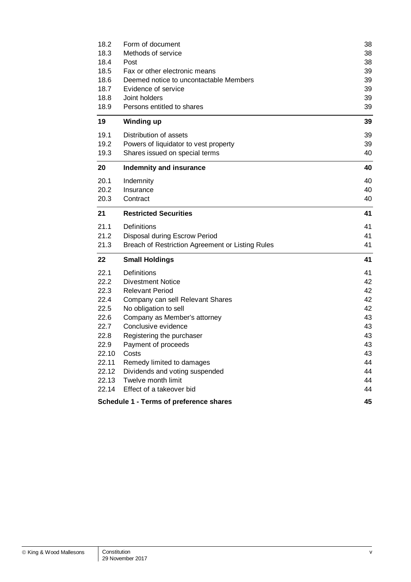| 18.2<br>18.3                            | Form of document<br>Methods of service           | 38       |
|-----------------------------------------|--------------------------------------------------|----------|
| 18.4                                    | Post                                             | 38<br>38 |
| 18.5                                    | Fax or other electronic means                    | 39       |
| 18.6                                    | Deemed notice to uncontactable Members           | 39       |
| 18.7                                    | Evidence of service                              | 39       |
| 18.8                                    | Joint holders                                    | 39       |
| 18.9                                    | Persons entitled to shares                       | 39       |
| 19                                      | <b>Winding up</b>                                | 39       |
| 19.1                                    | Distribution of assets                           | 39       |
| 19.2                                    | Powers of liquidator to vest property            | 39       |
| 19.3                                    | Shares issued on special terms                   | 40       |
| 20                                      | Indemnity and insurance                          | 40       |
| 20.1                                    | Indemnity                                        | 40       |
| 20.2                                    | Insurance                                        | 40       |
| 20.3                                    | Contract                                         | 40       |
| 21                                      | <b>Restricted Securities</b>                     | 41       |
| 21.1                                    | Definitions                                      | 41       |
| 21.2                                    | Disposal during Escrow Period                    | 41       |
| 21.3                                    | Breach of Restriction Agreement or Listing Rules | 41       |
| 22                                      | <b>Small Holdings</b>                            | 41       |
| 22.1                                    | Definitions                                      | 41       |
| 22.2                                    | <b>Divestment Notice</b>                         | 42       |
| 22.3                                    | <b>Relevant Period</b>                           | 42       |
| 22.4                                    | Company can sell Relevant Shares                 | 42       |
| 22.5                                    | No obligation to sell                            | 42       |
| 22.6                                    | Company as Member's attorney                     | 43       |
| 22.7                                    | Conclusive evidence                              | 43       |
| 22.8                                    | Registering the purchaser                        | 43       |
| 22.9                                    | Payment of proceeds                              | 43       |
| 22.10                                   | Costs                                            | 43       |
| 22.11                                   | Remedy limited to damages                        | 44       |
| 22.12                                   | Dividends and voting suspended                   | 44       |
| 22.13                                   | Twelve month limit                               | 44       |
| 22.14                                   | Effect of a takeover bid                         | 44<br>45 |
| Schedule 1 - Terms of preference shares |                                                  |          |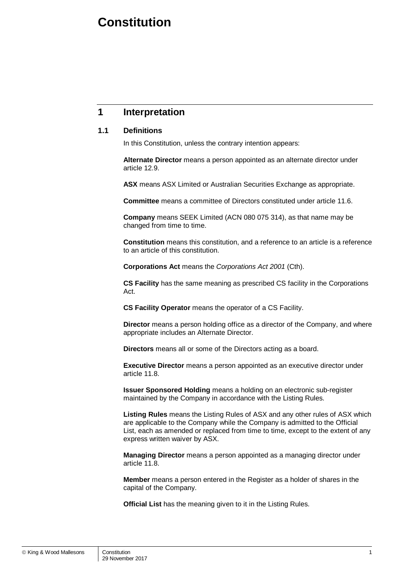## **Constitution**

## **1 Interpretation**

#### **1.1 Definitions**

In this Constitution, unless the contrary intention appears:

**Alternate Director** means a person appointed as an alternate director under article [12.9.](#page-35-0)

**ASX** means ASX Limited or Australian Securities Exchange as appropriate.

**Committee** means a committee of Directors constituted under article [11.6.](#page-33-0)

**Company** means SEEK Limited (ACN 080 075 314), as that name may be changed from time to time.

**Constitution** means this constitution, and a reference to an article is a reference to an article of this constitution.

**Corporations Act** means the *Corporations Act 2001* (Cth).

**CS Facility** has the same meaning as prescribed CS facility in the Corporations Act.

**CS Facility Operator** means the operator of a CS Facility.

**Director** means a person holding office as a director of the Company, and where appropriate includes an Alternate Director.

**Directors** means all or some of the Directors acting as a board.

**Executive Director** means a person appointed as an executive director under article [11.8.](#page-33-1)

**Issuer Sponsored Holding** means a holding on an electronic sub-register maintained by the Company in accordance with the Listing Rules.

**Listing Rules** means the Listing Rules of ASX and any other rules of ASX which are applicable to the Company while the Company is admitted to the Official List, each as amended or replaced from time to time, except to the extent of any express written waiver by ASX.

**Managing Director** means a person appointed as a managing director under article [11.8.](#page-33-1)

**Member** means a person entered in the Register as a holder of shares in the capital of the Company.

**Official List** has the meaning given to it in the Listing Rules.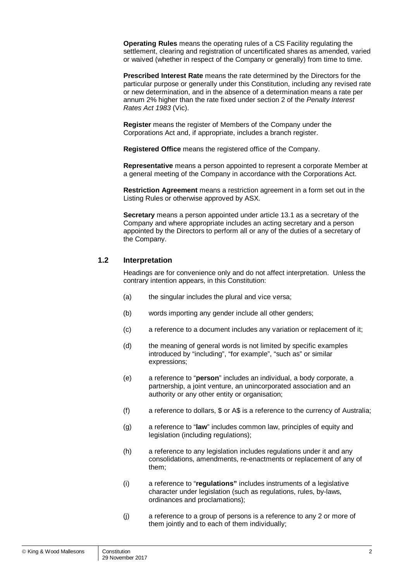**Operating Rules** means the operating rules of a CS Facility regulating the settlement, clearing and registration of uncertificated shares as amended, varied or waived (whether in respect of the Company or generally) from time to time.

**Prescribed Interest Rate** means the rate determined by the Directors for the particular purpose or generally under this Constitution, including any revised rate or new determination, and in the absence of a determination means a rate per annum 2% higher than the rate fixed under section 2 of the *Penalty Interest Rates Act 1983* (Vic).

**Register** means the register of Members of the Company under the Corporations Act and, if appropriate, includes a branch register.

**Registered Office** means the registered office of the Company.

**Representative** means a person appointed to represent a corporate Member at a general meeting of the Company in accordance with the Corporations Act.

**Restriction Agreement** means a restriction agreement in a form set out in the Listing Rules or otherwise approved by ASX.

**Secretary** means a person appointed under article [13.1](#page-38-0) as a secretary of the Company and where appropriate includes an acting secretary and a person appointed by the Directors to perform all or any of the duties of a secretary of the Company.

#### **1.2 Interpretation**

Headings are for convenience only and do not affect interpretation. Unless the contrary intention appears, in this Constitution:

- (a) the singular includes the plural and vice versa;
- (b) words importing any gender include all other genders;
- (c) a reference to a document includes any variation or replacement of it;
- (d) the meaning of general words is not limited by specific examples introduced by "including", "for example", "such as" or similar expressions;
- (e) a reference to "**person**" includes an individual, a body corporate, a partnership, a joint venture, an unincorporated association and an authority or any other entity or organisation;
- (f) a reference to dollars, \$ or A\$ is a reference to the currency of Australia;
- (g) a reference to "**law**" includes common law, principles of equity and legislation (including regulations);
- (h) a reference to any legislation includes regulations under it and any consolidations, amendments, re-enactments or replacement of any of them;
- (i) a reference to "**regulations"** includes instruments of a legislative character under legislation (such as regulations, rules, by-laws, ordinances and proclamations);
- (j) a reference to a group of persons is a reference to any 2 or more of them jointly and to each of them individually;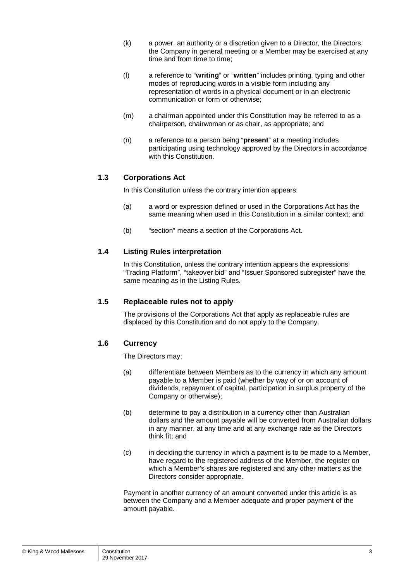- (k) a power, an authority or a discretion given to a Director, the Directors, the Company in general meeting or a Member may be exercised at any time and from time to time;
- (l) a reference to "**writing**" or "**written**" includes printing, typing and other modes of reproducing words in a visible form including any representation of words in a physical document or in an electronic communication or form or otherwise;
- (m) a chairman appointed under this Constitution may be referred to as a chairperson, chairwoman or as chair, as appropriate; and
- (n) a reference to a person being "**present**" at a meeting includes participating using technology approved by the Directors in accordance with this Constitution.

#### **1.3 Corporations Act**

In this Constitution unless the contrary intention appears:

- (a) a word or expression defined or used in the Corporations Act has the same meaning when used in this Constitution in a similar context; and
- (b) "section" means a section of the Corporations Act.

#### **1.4 Listing Rules interpretation**

In this Constitution, unless the contrary intention appears the expressions "Trading Platform", "takeover bid" and "Issuer Sponsored subregister" have the same meaning as in the Listing Rules.

#### **1.5 Replaceable rules not to apply**

The provisions of the Corporations Act that apply as replaceable rules are displaced by this Constitution and do not apply to the Company.

#### **1.6 Currency**

The Directors may:

- (a) differentiate between Members as to the currency in which any amount payable to a Member is paid (whether by way of or on account of dividends, repayment of capital, participation in surplus property of the Company or otherwise);
- (b) determine to pay a distribution in a currency other than Australian dollars and the amount payable will be converted from Australian dollars in any manner, at any time and at any exchange rate as the Directors think fit; and
- (c) in deciding the currency in which a payment is to be made to a Member, have regard to the registered address of the Member, the register on which a Member's shares are registered and any other matters as the Directors consider appropriate.

Payment in another currency of an amount converted under this article is as between the Company and a Member adequate and proper payment of the amount payable.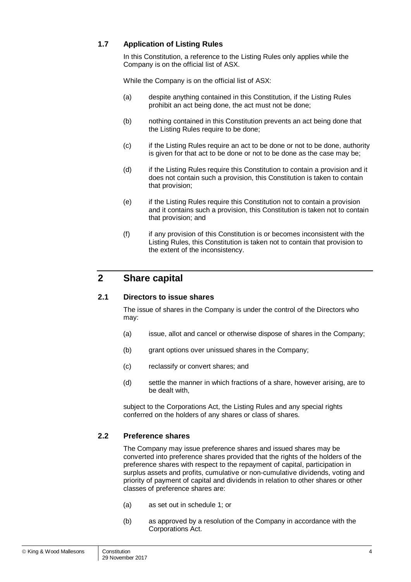#### **1.7 Application of Listing Rules**

In this Constitution, a reference to the Listing Rules only applies while the Company is on the official list of ASX.

While the Company is on the official list of ASX:

- (a) despite anything contained in this Constitution, if the Listing Rules prohibit an act being done, the act must not be done;
- (b) nothing contained in this Constitution prevents an act being done that the Listing Rules require to be done;
- (c) if the Listing Rules require an act to be done or not to be done, authority is given for that act to be done or not to be done as the case may be;
- (d) if the Listing Rules require this Constitution to contain a provision and it does not contain such a provision, this Constitution is taken to contain that provision;
- (e) if the Listing Rules require this Constitution not to contain a provision and it contains such a provision, this Constitution is taken not to contain that provision; and
- (f) if any provision of this Constitution is or becomes inconsistent with the Listing Rules, this Constitution is taken not to contain that provision to the extent of the inconsistency.

## **2 Share capital**

#### **2.1 Directors to issue shares**

The issue of shares in the Company is under the control of the Directors who may:

- (a) issue, allot and cancel or otherwise dispose of shares in the Company;
- (b) grant options over unissued shares in the Company;
- (c) reclassify or convert shares; and
- (d) settle the manner in which fractions of a share, however arising, are to be dealt with,

subject to the Corporations Act, the Listing Rules and any special rights conferred on the holders of any shares or class of shares.

#### <span id="page-9-0"></span>**2.2 Preference shares**

The Company may issue preference shares and issued shares may be converted into preference shares provided that the rights of the holders of the preference shares with respect to the repayment of capital, participation in surplus assets and profits, cumulative or non-cumulative dividends, voting and priority of payment of capital and dividends in relation to other shares or other classes of preference shares are:

- (a) as set out in schedule 1; or
- (b) as approved by a resolution of the Company in accordance with the Corporations Act.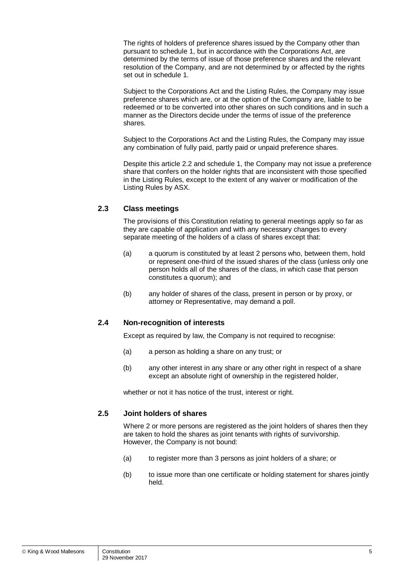The rights of holders of preference shares issued by the Company other than pursuant to schedule 1, but in accordance with the Corporations Act, are determined by the terms of issue of those preference shares and the relevant resolution of the Company, and are not determined by or affected by the rights set out in schedule 1.

Subject to the Corporations Act and the Listing Rules, the Company may issue preference shares which are, or at the option of the Company are, liable to be redeemed or to be converted into other shares on such conditions and in such a manner as the Directors decide under the terms of issue of the preference shares.

Subject to the Corporations Act and the Listing Rules, the Company may issue any combination of fully paid, partly paid or unpaid preference shares.

Despite this article [2.2](#page-9-0) and schedule 1, the Company may not issue a preference share that confers on the holder rights that are inconsistent with those specified in the Listing Rules, except to the extent of any waiver or modification of the Listing Rules by ASX.

#### **2.3 Class meetings**

The provisions of this Constitution relating to general meetings apply so far as they are capable of application and with any necessary changes to every separate meeting of the holders of a class of shares except that:

- (a) a quorum is constituted by at least 2 persons who, between them, hold or represent one-third of the issued shares of the class (unless only one person holds all of the shares of the class, in which case that person constitutes a quorum); and
- (b) any holder of shares of the class, present in person or by proxy, or attorney or Representative, may demand a poll.

#### **2.4 Non-recognition of interests**

Except as required by law, the Company is not required to recognise:

- (a) a person as holding a share on any trust; or
- (b) any other interest in any share or any other right in respect of a share except an absolute right of ownership in the registered holder,

whether or not it has notice of the trust, interest or right.

#### **2.5 Joint holders of shares**

Where 2 or more persons are registered as the joint holders of shares then they are taken to hold the shares as joint tenants with rights of survivorship. However, the Company is not bound:

- (a) to register more than 3 persons as joint holders of a share; or
- (b) to issue more than one certificate or holding statement for shares jointly held.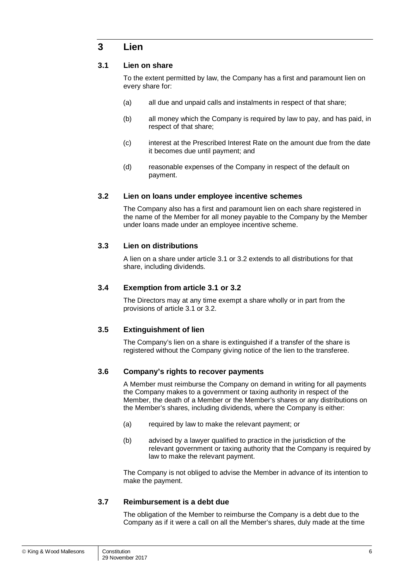## **3 Lien**

#### <span id="page-11-0"></span>**3.1 Lien on share**

To the extent permitted by law, the Company has a first and paramount lien on every share for:

- (a) all due and unpaid calls and instalments in respect of that share;
- (b) all money which the Company is required by law to pay, and has paid, in respect of that share;
- (c) interest at the Prescribed Interest Rate on the amount due from the date it becomes due until payment; and
- (d) reasonable expenses of the Company in respect of the default on payment.

#### <span id="page-11-1"></span>**3.2 Lien on loans under employee incentive schemes**

The Company also has a first and paramount lien on each share registered in the name of the Member for all money payable to the Company by the Member under loans made under an employee incentive scheme.

#### **3.3 Lien on distributions**

A lien on a share under article [3.1](#page-11-0) or [3.2](#page-11-1) extends to all distributions for that share, including dividends.

#### **3.4 Exemption from article [3.1](#page-11-0) or [3.2](#page-11-1)**

The Directors may at any time exempt a share wholly or in part from the provisions of article [3.1](#page-11-0) or [3.2.](#page-11-1)

#### **3.5 Extinguishment of lien**

The Company's lien on a share is extinguished if a transfer of the share is registered without the Company giving notice of the lien to the transferee.

#### **3.6 Company's rights to recover payments**

A Member must reimburse the Company on demand in writing for all payments the Company makes to a government or taxing authority in respect of the Member, the death of a Member or the Member's shares or any distributions on the Member's shares, including dividends, where the Company is either:

- (a) required by law to make the relevant payment; or
- (b) advised by a lawyer qualified to practice in the jurisdiction of the relevant government or taxing authority that the Company is required by law to make the relevant payment.

The Company is not obliged to advise the Member in advance of its intention to make the payment.

#### **3.7 Reimbursement is a debt due**

The obligation of the Member to reimburse the Company is a debt due to the Company as if it were a call on all the Member's shares, duly made at the time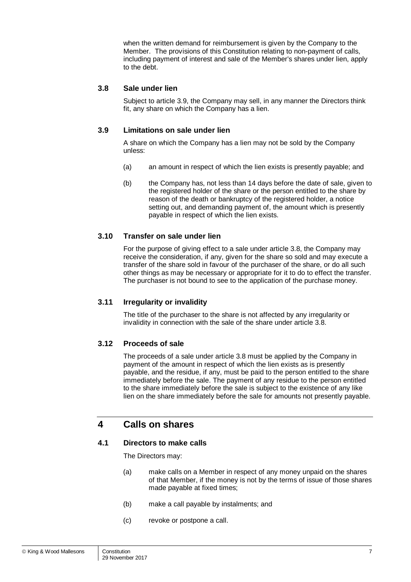when the written demand for reimbursement is given by the Company to the Member. The provisions of this Constitution relating to non-payment of calls, including payment of interest and sale of the Member's shares under lien, apply to the debt.

#### <span id="page-12-1"></span>**3.8 Sale under lien**

Subject to article [3.9,](#page-12-0) the Company may sell, in any manner the Directors think fit, any share on which the Company has a lien.

#### <span id="page-12-0"></span>**3.9 Limitations on sale under lien**

A share on which the Company has a lien may not be sold by the Company unless:

- (a) an amount in respect of which the lien exists is presently payable; and
- (b) the Company has, not less than 14 days before the date of sale, given to the registered holder of the share or the person entitled to the share by reason of the death or bankruptcy of the registered holder, a notice setting out, and demanding payment of, the amount which is presently payable in respect of which the lien exists.

#### **3.10 Transfer on sale under lien**

For the purpose of giving effect to a sale under article [3.8,](#page-12-1) the Company may receive the consideration, if any, given for the share so sold and may execute a transfer of the share sold in favour of the purchaser of the share, or do all such other things as may be necessary or appropriate for it to do to effect the transfer. The purchaser is not bound to see to the application of the purchase money.

#### **3.11 Irregularity or invalidity**

The title of the purchaser to the share is not affected by any irregularity or invalidity in connection with the sale of the share under article [3.8.](#page-12-1)

#### **3.12 Proceeds of sale**

The proceeds of a sale under article [3.8](#page-12-1) must be applied by the Company in payment of the amount in respect of which the lien exists as is presently payable, and the residue, if any, must be paid to the person entitled to the share immediately before the sale. The payment of any residue to the person entitled to the share immediately before the sale is subject to the existence of any like lien on the share immediately before the sale for amounts not presently payable.

## **4 Calls on shares**

#### **4.1 Directors to make calls**

The Directors may:

- (a) make calls on a Member in respect of any money unpaid on the shares of that Member, if the money is not by the terms of issue of those shares made payable at fixed times;
- (b) make a call payable by instalments; and
- (c) revoke or postpone a call.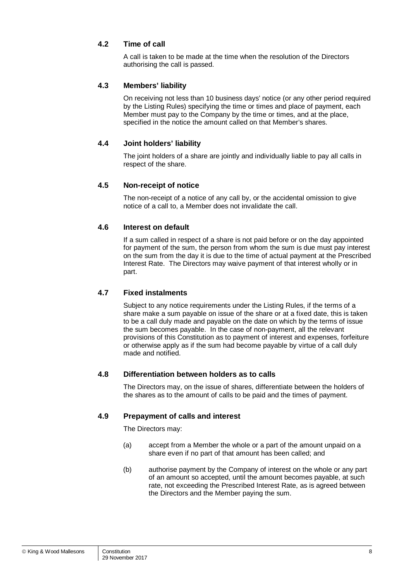#### **4.2 Time of call**

A call is taken to be made at the time when the resolution of the Directors authorising the call is passed.

#### **4.3 Members' liability**

On receiving not less than 10 business days' notice (or any other period required by the Listing Rules) specifying the time or times and place of payment, each Member must pay to the Company by the time or times, and at the place, specified in the notice the amount called on that Member's shares.

#### **4.4 Joint holders' liability**

The joint holders of a share are jointly and individually liable to pay all calls in respect of the share.

#### **4.5 Non-receipt of notice**

The non-receipt of a notice of any call by, or the accidental omission to give notice of a call to, a Member does not invalidate the call.

#### **4.6 Interest on default**

If a sum called in respect of a share is not paid before or on the day appointed for payment of the sum, the person from whom the sum is due must pay interest on the sum from the day it is due to the time of actual payment at the Prescribed Interest Rate. The Directors may waive payment of that interest wholly or in part.

#### **4.7 Fixed instalments**

Subject to any notice requirements under the Listing Rules, if the terms of a share make a sum payable on issue of the share or at a fixed date, this is taken to be a call duly made and payable on the date on which by the terms of issue the sum becomes payable. In the case of non-payment, all the relevant provisions of this Constitution as to payment of interest and expenses, forfeiture or otherwise apply as if the sum had become payable by virtue of a call duly made and notified.

#### **4.8 Differentiation between holders as to calls**

The Directors may, on the issue of shares, differentiate between the holders of the shares as to the amount of calls to be paid and the times of payment.

#### **4.9 Prepayment of calls and interest**

The Directors may:

- (a) accept from a Member the whole or a part of the amount unpaid on a share even if no part of that amount has been called; and
- (b) authorise payment by the Company of interest on the whole or any part of an amount so accepted, until the amount becomes payable, at such rate, not exceeding the Prescribed Interest Rate, as is agreed between the Directors and the Member paying the sum.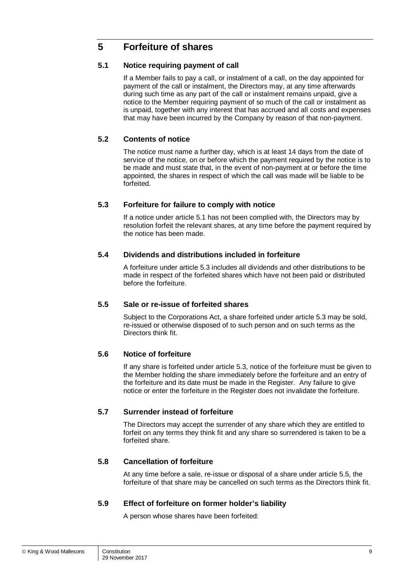## **5 Forfeiture of shares**

#### <span id="page-14-0"></span>**5.1 Notice requiring payment of call**

If a Member fails to pay a call, or instalment of a call, on the day appointed for payment of the call or instalment, the Directors may, at any time afterwards during such time as any part of the call or instalment remains unpaid, give a notice to the Member requiring payment of so much of the call or instalment as is unpaid, together with any interest that has accrued and all costs and expenses that may have been incurred by the Company by reason of that non-payment.

#### **5.2 Contents of notice**

The notice must name a further day, which is at least 14 days from the date of service of the notice, on or before which the payment required by the notice is to be made and must state that, in the event of non-payment at or before the time appointed, the shares in respect of which the call was made will be liable to be forfeited.

#### <span id="page-14-1"></span>**5.3 Forfeiture for failure to comply with notice**

If a notice under article [5.1](#page-14-0) has not been complied with, the Directors may by resolution forfeit the relevant shares, at any time before the payment required by the notice has been made.

#### **5.4 Dividends and distributions included in forfeiture**

A forfeiture under article [5.3](#page-14-1) includes all dividends and other distributions to be made in respect of the forfeited shares which have not been paid or distributed before the forfeiture.

#### <span id="page-14-2"></span>**5.5 Sale or re-issue of forfeited shares**

Subject to the Corporations Act, a share forfeited under article [5.3](#page-14-1) may be sold, re-issued or otherwise disposed of to such person and on such terms as the Directors think fit.

#### **5.6 Notice of forfeiture**

If any share is forfeited under article [5.3,](#page-14-1) notice of the forfeiture must be given to the Member holding the share immediately before the forfeiture and an entry of the forfeiture and its date must be made in the Register. Any failure to give notice or enter the forfeiture in the Register does not invalidate the forfeiture.

#### **5.7 Surrender instead of forfeiture**

The Directors may accept the surrender of any share which they are entitled to forfeit on any terms they think fit and any share so surrendered is taken to be a forfeited share.

#### **5.8 Cancellation of forfeiture**

At any time before a sale, re-issue or disposal of a share under article [5.5,](#page-14-2) the forfeiture of that share may be cancelled on such terms as the Directors think fit.

#### **5.9 Effect of forfeiture on former holder's liability**

A person whose shares have been forfeited: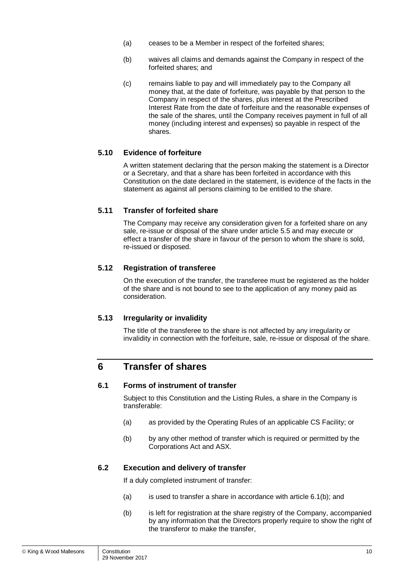- (a) ceases to be a Member in respect of the forfeited shares;
- (b) waives all claims and demands against the Company in respect of the forfeited shares; and
- (c) remains liable to pay and will immediately pay to the Company all money that, at the date of forfeiture, was payable by that person to the Company in respect of the shares, plus interest at the Prescribed Interest Rate from the date of forfeiture and the reasonable expenses of the sale of the shares, until the Company receives payment in full of all money (including interest and expenses) so payable in respect of the shares.

#### **5.10 Evidence of forfeiture**

A written statement declaring that the person making the statement is a Director or a Secretary, and that a share has been forfeited in accordance with this Constitution on the date declared in the statement, is evidence of the facts in the statement as against all persons claiming to be entitled to the share.

#### **5.11 Transfer of forfeited share**

The Company may receive any consideration given for a forfeited share on any sale, re-issue or disposal of the share under article [5.5](#page-14-2) and may execute or effect a transfer of the share in favour of the person to whom the share is sold, re-issued or disposed.

#### **5.12 Registration of transferee**

On the execution of the transfer, the transferee must be registered as the holder of the share and is not bound to see to the application of any money paid as consideration.

#### **5.13 Irregularity or invalidity**

The title of the transferee to the share is not affected by any irregularity or invalidity in connection with the forfeiture, sale, re-issue or disposal of the share.

## **6 Transfer of shares**

#### <span id="page-15-1"></span>**6.1 Forms of instrument of transfer**

Subject to this Constitution and the Listing Rules, a share in the Company is transferable:

- (a) as provided by the Operating Rules of an applicable CS Facility; or
- <span id="page-15-0"></span>(b) by any other method of transfer which is required or permitted by the Corporations Act and ASX.

#### <span id="page-15-2"></span>**6.2 Execution and delivery of transfer**

If a duly completed instrument of transfer:

- (a) is used to transfer a share in accordance with article [6.1\(b\);](#page-15-0) and
- (b) is left for registration at the share registry of the Company, accompanied by any information that the Directors properly require to show the right of the transferor to make the transfer,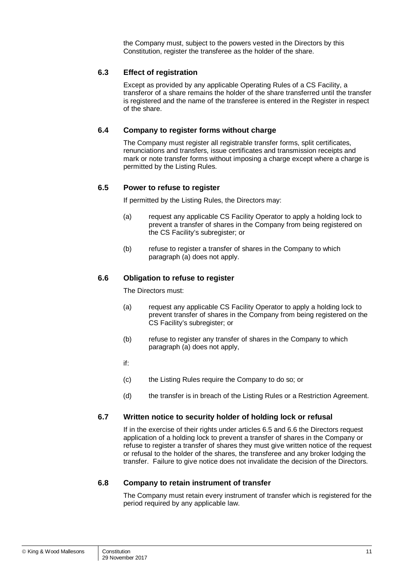the Company must, subject to the powers vested in the Directors by this Constitution, register the transferee as the holder of the share.

#### <span id="page-16-2"></span>**6.3 Effect of registration**

Except as provided by any applicable Operating Rules of a CS Facility, a transferor of a share remains the holder of the share transferred until the transfer is registered and the name of the transferee is entered in the Register in respect of the share.

#### **6.4 Company to register forms without charge**

The Company must register all registrable transfer forms, split certificates, renunciations and transfers, issue certificates and transmission receipts and mark or note transfer forms without imposing a charge except where a charge is permitted by the Listing Rules.

#### <span id="page-16-0"></span>**6.5 Power to refuse to register**

If permitted by the Listing Rules, the Directors may:

- (a) request any applicable CS Facility Operator to apply a holding lock to prevent a transfer of shares in the Company from being registered on the CS Facility's subregister; or
- (b) refuse to register a transfer of shares in the Company to which paragraph (a) does not apply.

#### <span id="page-16-1"></span>**6.6 Obligation to refuse to register**

The Directors must:

- (a) request any applicable CS Facility Operator to apply a holding lock to prevent transfer of shares in the Company from being registered on the CS Facility's subregister; or
- (b) refuse to register any transfer of shares in the Company to which paragraph (a) does not apply,
- if:
- (c) the Listing Rules require the Company to do so; or
- (d) the transfer is in breach of the Listing Rules or a Restriction Agreement.

#### **6.7 Written notice to security holder of holding lock or refusal**

If in the exercise of their rights under articles [6.5](#page-16-0) and [6.6](#page-16-1) the Directors request application of a holding lock to prevent a transfer of shares in the Company or refuse to register a transfer of shares they must give written notice of the request or refusal to the holder of the shares, the transferee and any broker lodging the transfer. Failure to give notice does not invalidate the decision of the Directors.

#### **6.8 Company to retain instrument of transfer**

The Company must retain every instrument of transfer which is registered for the period required by any applicable law.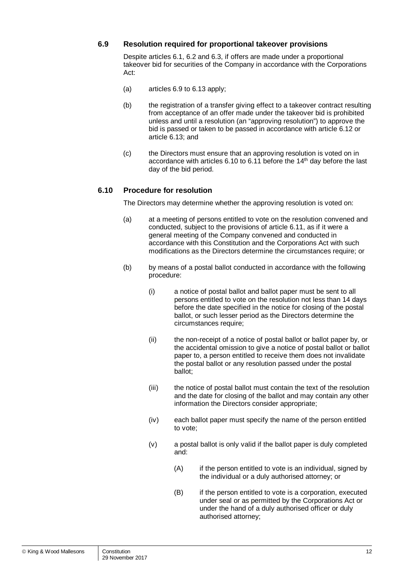#### <span id="page-17-0"></span>**6.9 Resolution required for proportional takeover provisions**

Despite articles [6.1,](#page-15-1) [6.2](#page-15-2) and [6.3,](#page-16-2) if offers are made under a proportional takeover bid for securities of the Company in accordance with the Corporations Act:

- (a) articles [6.9](#page-17-0) to [6.13](#page-18-0) apply;
- (b) the registration of a transfer giving effect to a takeover contract resulting from acceptance of an offer made under the takeover bid is prohibited unless and until a resolution (an "approving resolution") to approve the bid is passed or taken to be passed in accordance with article [6.12](#page-18-1) or article [6.13;](#page-18-0) and
- (c) the Directors must ensure that an approving resolution is voted on in accordance with articles [6.10](#page-17-1) to [6.11](#page-18-2) before the 14<sup>th</sup> day before the last day of the bid period.

#### <span id="page-17-1"></span>**6.10 Procedure for resolution**

The Directors may determine whether the approving resolution is voted on:

- (a) at a meeting of persons entitled to vote on the resolution convened and conducted, subject to the provisions of article [6.11,](#page-18-2) as if it were a general meeting of the Company convened and conducted in accordance with this Constitution and the Corporations Act with such modifications as the Directors determine the circumstances require; or
- (b) by means of a postal ballot conducted in accordance with the following procedure:
	- (i) a notice of postal ballot and ballot paper must be sent to all persons entitled to vote on the resolution not less than 14 days before the date specified in the notice for closing of the postal ballot, or such lesser period as the Directors determine the circumstances require;
	- (ii) the non-receipt of a notice of postal ballot or ballot paper by, or the accidental omission to give a notice of postal ballot or ballot paper to, a person entitled to receive them does not invalidate the postal ballot or any resolution passed under the postal ballot;
	- (iii) the notice of postal ballot must contain the text of the resolution and the date for closing of the ballot and may contain any other information the Directors consider appropriate;
	- (iv) each ballot paper must specify the name of the person entitled to vote;
	- (v) a postal ballot is only valid if the ballot paper is duly completed and:
		- $(A)$  if the person entitled to vote is an individual, signed by the individual or a duly authorised attorney; or
		- (B) if the person entitled to vote is a corporation, executed under seal or as permitted by the Corporations Act or under the hand of a duly authorised officer or duly authorised attorney;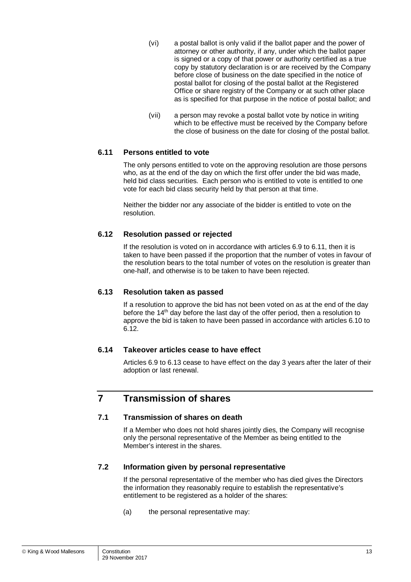- (vi) a postal ballot is only valid if the ballot paper and the power of attorney or other authority, if any, under which the ballot paper is signed or a copy of that power or authority certified as a true copy by statutory declaration is or are received by the Company before close of business on the date specified in the notice of postal ballot for closing of the postal ballot at the Registered Office or share registry of the Company or at such other place as is specified for that purpose in the notice of postal ballot; and
- (vii) a person may revoke a postal ballot vote by notice in writing which to be effective must be received by the Company before the close of business on the date for closing of the postal ballot.

#### <span id="page-18-2"></span>**6.11 Persons entitled to vote**

The only persons entitled to vote on the approving resolution are those persons who, as at the end of the day on which the first offer under the bid was made, held bid class securities. Each person who is entitled to vote is entitled to one vote for each bid class security held by that person at that time.

Neither the bidder nor any associate of the bidder is entitled to vote on the resolution.

#### <span id="page-18-1"></span>**6.12 Resolution passed or rejected**

If the resolution is voted on in accordance with articles [6.9](#page-17-0) to [6.11,](#page-18-2) then it is taken to have been passed if the proportion that the number of votes in favour of the resolution bears to the total number of votes on the resolution is greater than one-half, and otherwise is to be taken to have been rejected.

#### <span id="page-18-0"></span>**6.13 Resolution taken as passed**

If a resolution to approve the bid has not been voted on as at the end of the day before the 14<sup>th</sup> day before the last day of the offer period, then a resolution to approve the bid is taken to have been passed in accordance with articles [6.10](#page-17-1) to [6.12.](#page-18-1)

#### **6.14 Takeover articles cease to have effect**

Articles [6.9](#page-17-0) to [6.13](#page-18-0) cease to have effect on the day 3 years after the later of their adoption or last renewal.

## **7 Transmission of shares**

#### <span id="page-18-3"></span>**7.1 Transmission of shares on death**

If a Member who does not hold shares jointly dies, the Company will recognise only the personal representative of the Member as being entitled to the Member's interest in the shares.

#### **7.2 Information given by personal representative**

If the personal representative of the member who has died gives the Directors the information they reasonably require to establish the representative's entitlement to be registered as a holder of the shares:

(a) the personal representative may: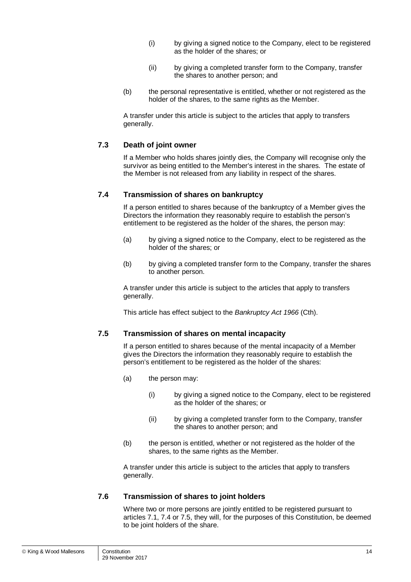- (i) by giving a signed notice to the Company, elect to be registered as the holder of the shares; or
- (ii) by giving a completed transfer form to the Company, transfer the shares to another person; and
- (b) the personal representative is entitled, whether or not registered as the holder of the shares, to the same rights as the Member.

A transfer under this article is subject to the articles that apply to transfers generally.

#### **7.3 Death of joint owner**

If a Member who holds shares jointly dies, the Company will recognise only the survivor as being entitled to the Member's interest in the shares. The estate of the Member is not released from any liability in respect of the shares.

#### <span id="page-19-0"></span>**7.4 Transmission of shares on bankruptcy**

If a person entitled to shares because of the bankruptcy of a Member gives the Directors the information they reasonably require to establish the person's entitlement to be registered as the holder of the shares, the person may:

- (a) by giving a signed notice to the Company, elect to be registered as the holder of the shares; or
- (b) by giving a completed transfer form to the Company, transfer the shares to another person.

A transfer under this article is subject to the articles that apply to transfers generally.

This article has effect subject to the *Bankruptcy Act 1966* (Cth).

#### <span id="page-19-1"></span>**7.5 Transmission of shares on mental incapacity**

If a person entitled to shares because of the mental incapacity of a Member gives the Directors the information they reasonably require to establish the person's entitlement to be registered as the holder of the shares:

- (a) the person may:
	- (i) by giving a signed notice to the Company, elect to be registered as the holder of the shares; or
	- (ii) by giving a completed transfer form to the Company, transfer the shares to another person; and
- (b) the person is entitled, whether or not registered as the holder of the shares, to the same rights as the Member.

A transfer under this article is subject to the articles that apply to transfers generally.

#### **7.6 Transmission of shares to joint holders**

Where two or more persons are jointly entitled to be registered pursuant to articles [7.1,](#page-18-3) [7.4](#page-19-0) or [7.5,](#page-19-1) they will, for the purposes of this Constitution, be deemed to be joint holders of the share.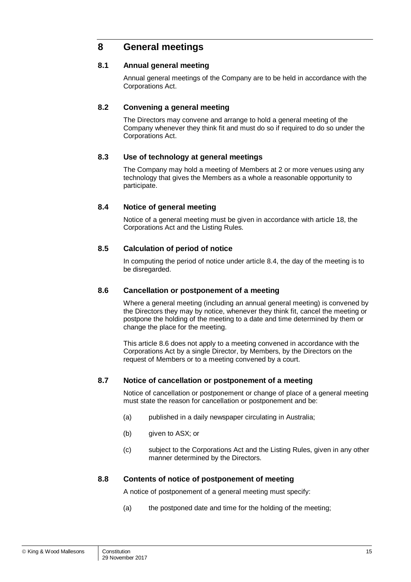## **8 General meetings**

#### **8.1 Annual general meeting**

Annual general meetings of the Company are to be held in accordance with the Corporations Act.

#### **8.2 Convening a general meeting**

The Directors may convene and arrange to hold a general meeting of the Company whenever they think fit and must do so if required to do so under the Corporations Act.

#### **8.3 Use of technology at general meetings**

The Company may hold a meeting of Members at 2 or more venues using any technology that gives the Members as a whole a reasonable opportunity to participate.

#### <span id="page-20-0"></span>**8.4 Notice of general meeting**

Notice of a general meeting must be given in accordance with article [18,](#page-43-0) the Corporations Act and the Listing Rules.

#### **8.5 Calculation of period of notice**

In computing the period of notice under article [8.4,](#page-20-0) the day of the meeting is to be disregarded.

#### <span id="page-20-1"></span>**8.6 Cancellation or postponement of a meeting**

Where a general meeting (including an annual general meeting) is convened by the Directors they may by notice, whenever they think fit, cancel the meeting or postpone the holding of the meeting to a date and time determined by them or change the place for the meeting.

This article [8.6](#page-20-1) does not apply to a meeting convened in accordance with the Corporations Act by a single Director, by Members, by the Directors on the request of Members or to a meeting convened by a court.

#### **8.7 Notice of cancellation or postponement of a meeting**

Notice of cancellation or postponement or change of place of a general meeting must state the reason for cancellation or postponement and be:

- (a) published in a daily newspaper circulating in Australia;
- (b) given to ASX; or
- (c) subject to the Corporations Act and the Listing Rules, given in any other manner determined by the Directors.

#### **8.8 Contents of notice of postponement of meeting**

A notice of postponement of a general meeting must specify:

(a) the postponed date and time for the holding of the meeting;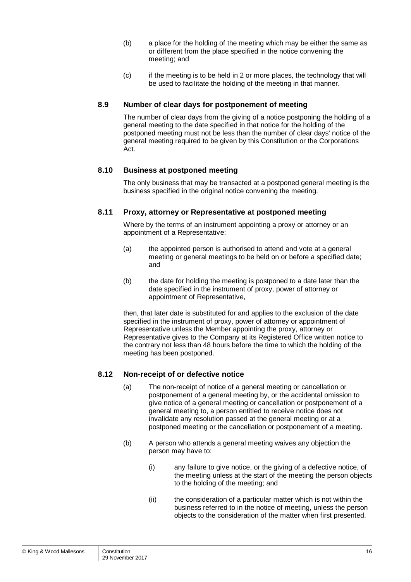- (b) a place for the holding of the meeting which may be either the same as or different from the place specified in the notice convening the meeting; and
- (c) if the meeting is to be held in 2 or more places, the technology that will be used to facilitate the holding of the meeting in that manner.

#### **8.9 Number of clear days for postponement of meeting**

The number of clear days from the giving of a notice postponing the holding of a general meeting to the date specified in that notice for the holding of the postponed meeting must not be less than the number of clear days' notice of the general meeting required to be given by this Constitution or the Corporations Act.

#### **8.10 Business at postponed meeting**

The only business that may be transacted at a postponed general meeting is the business specified in the original notice convening the meeting.

#### **8.11 Proxy, attorney or Representative at postponed meeting**

Where by the terms of an instrument appointing a proxy or attorney or an appointment of a Representative:

- (a) the appointed person is authorised to attend and vote at a general meeting or general meetings to be held on or before a specified date; and
- (b) the date for holding the meeting is postponed to a date later than the date specified in the instrument of proxy, power of attorney or appointment of Representative,

then, that later date is substituted for and applies to the exclusion of the date specified in the instrument of proxy, power of attorney or appointment of Representative unless the Member appointing the proxy, attorney or Representative gives to the Company at its Registered Office written notice to the contrary not less than 48 hours before the time to which the holding of the meeting has been postponed.

#### **8.12 Non-receipt of or defective notice**

- (a) The non-receipt of notice of a general meeting or cancellation or postponement of a general meeting by, or the accidental omission to give notice of a general meeting or cancellation or postponement of a general meeting to, a person entitled to receive notice does not invalidate any resolution passed at the general meeting or at a postponed meeting or the cancellation or postponement of a meeting.
- (b) A person who attends a general meeting waives any objection the person may have to:
	- (i) any failure to give notice, or the giving of a defective notice, of the meeting unless at the start of the meeting the person objects to the holding of the meeting; and
	- (ii) the consideration of a particular matter which is not within the business referred to in the notice of meeting, unless the person objects to the consideration of the matter when first presented.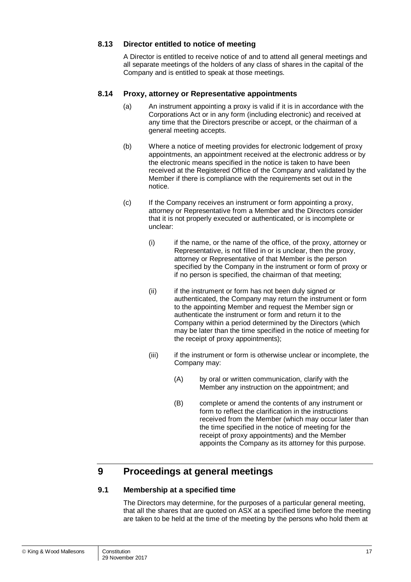#### **8.13 Director entitled to notice of meeting**

A Director is entitled to receive notice of and to attend all general meetings and all separate meetings of the holders of any class of shares in the capital of the Company and is entitled to speak at those meetings.

#### **8.14 Proxy, attorney or Representative appointments**

- (a) An instrument appointing a proxy is valid if it is in accordance with the Corporations Act or in any form (including electronic) and received at any time that the Directors prescribe or accept, or the chairman of a general meeting accepts.
- (b) Where a notice of meeting provides for electronic lodgement of proxy appointments, an appointment received at the electronic address or by the electronic means specified in the notice is taken to have been received at the Registered Office of the Company and validated by the Member if there is compliance with the requirements set out in the notice.
- (c) If the Company receives an instrument or form appointing a proxy, attorney or Representative from a Member and the Directors consider that it is not properly executed or authenticated, or is incomplete or unclear:
	- (i) if the name, or the name of the office, of the proxy, attorney or Representative, is not filled in or is unclear, then the proxy, attorney or Representative of that Member is the person specified by the Company in the instrument or form of proxy or if no person is specified, the chairman of that meeting;
	- (ii) if the instrument or form has not been duly signed or authenticated, the Company may return the instrument or form to the appointing Member and request the Member sign or authenticate the instrument or form and return it to the Company within a period determined by the Directors (which may be later than the time specified in the notice of meeting for the receipt of proxy appointments);
	- (iii) if the instrument or form is otherwise unclear or incomplete, the Company may:
		- (A) by oral or written communication, clarify with the Member any instruction on the appointment; and
		- (B) complete or amend the contents of any instrument or form to reflect the clarification in the instructions received from the Member (which may occur later than the time specified in the notice of meeting for the receipt of proxy appointments) and the Member appoints the Company as its attorney for this purpose.

## **9 Proceedings at general meetings**

#### **9.1 Membership at a specified time**

The Directors may determine, for the purposes of a particular general meeting, that all the shares that are quoted on ASX at a specified time before the meeting are taken to be held at the time of the meeting by the persons who hold them at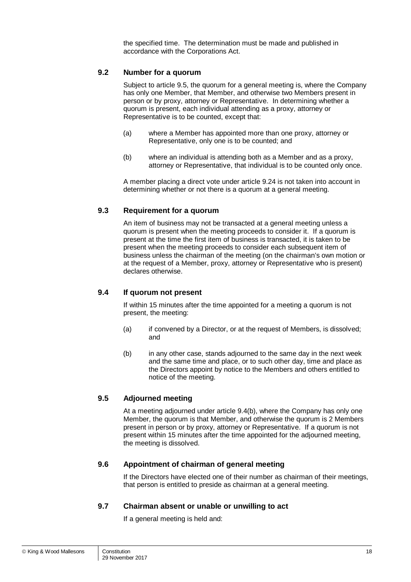the specified time. The determination must be made and published in accordance with the Corporations Act.

#### **9.2 Number for a quorum**

Subject to article [9.5,](#page-23-0) the quorum for a general meeting is, where the Company has only one Member, that Member, and otherwise two Members present in person or by proxy, attorney or Representative. In determining whether a quorum is present, each individual attending as a proxy, attorney or Representative is to be counted, except that:

- (a) where a Member has appointed more than one proxy, attorney or Representative, only one is to be counted; and
- (b) where an individual is attending both as a Member and as a proxy, attorney or Representative, that individual is to be counted only once.

A member placing a direct vote under article [9.24](#page-28-0) is not taken into account in determining whether or not there is a quorum at a general meeting.

#### **9.3 Requirement for a quorum**

An item of business may not be transacted at a general meeting unless a quorum is present when the meeting proceeds to consider it. If a quorum is present at the time the first item of business is transacted, it is taken to be present when the meeting proceeds to consider each subsequent item of business unless the chairman of the meeting (on the chairman's own motion or at the request of a Member, proxy, attorney or Representative who is present) declares otherwise.

#### **9.4 If quorum not present**

If within 15 minutes after the time appointed for a meeting a quorum is not present, the meeting:

- (a) if convened by a Director, or at the request of Members, is dissolved; and
- <span id="page-23-1"></span>(b) in any other case, stands adjourned to the same day in the next week and the same time and place, or to such other day, time and place as the Directors appoint by notice to the Members and others entitled to notice of the meeting.

#### <span id="page-23-0"></span>**9.5 Adjourned meeting**

At a meeting adjourned under article [9.4\(b\),](#page-23-1) where the Company has only one Member, the quorum is that Member, and otherwise the quorum is 2 Members present in person or by proxy, attorney or Representative. If a quorum is not present within 15 minutes after the time appointed for the adjourned meeting, the meeting is dissolved.

#### **9.6 Appointment of chairman of general meeting**

If the Directors have elected one of their number as chairman of their meetings, that person is entitled to preside as chairman at a general meeting.

#### **9.7 Chairman absent or unable or unwilling to act**

If a general meeting is held and: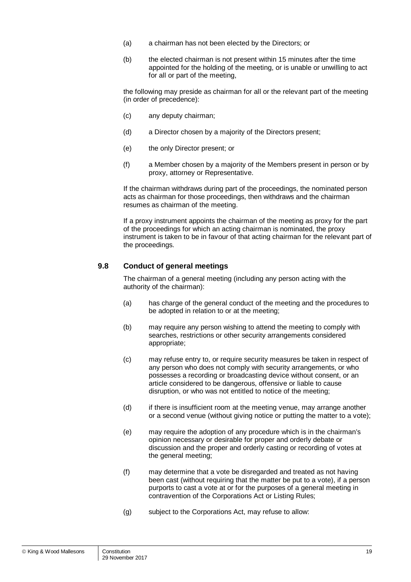- (a) a chairman has not been elected by the Directors; or
- (b) the elected chairman is not present within 15 minutes after the time appointed for the holding of the meeting, or is unable or unwilling to act for all or part of the meeting,

the following may preside as chairman for all or the relevant part of the meeting (in order of precedence):

- (c) any deputy chairman;
- (d) a Director chosen by a majority of the Directors present;
- (e) the only Director present; or
- (f) a Member chosen by a majority of the Members present in person or by proxy, attorney or Representative.

If the chairman withdraws during part of the proceedings, the nominated person acts as chairman for those proceedings, then withdraws and the chairman resumes as chairman of the meeting.

If a proxy instrument appoints the chairman of the meeting as proxy for the part of the proceedings for which an acting chairman is nominated, the proxy instrument is taken to be in favour of that acting chairman for the relevant part of the proceedings.

#### **9.8 Conduct of general meetings**

The chairman of a general meeting (including any person acting with the authority of the chairman):

- (a) has charge of the general conduct of the meeting and the procedures to be adopted in relation to or at the meeting;
- (b) may require any person wishing to attend the meeting to comply with searches, restrictions or other security arrangements considered appropriate;
- (c) may refuse entry to, or require security measures be taken in respect of any person who does not comply with security arrangements, or who possesses a recording or broadcasting device without consent, or an article considered to be dangerous, offensive or liable to cause disruption, or who was not entitled to notice of the meeting;
- (d) if there is insufficient room at the meeting venue, may arrange another or a second venue (without giving notice or putting the matter to a vote);
- (e) may require the adoption of any procedure which is in the chairman's opinion necessary or desirable for proper and orderly debate or discussion and the proper and orderly casting or recording of votes at the general meeting;
- (f) may determine that a vote be disregarded and treated as not having been cast (without requiring that the matter be put to a vote), if a person purports to cast a vote at or for the purposes of a general meeting in contravention of the Corporations Act or Listing Rules;
- (g) subject to the Corporations Act, may refuse to allow: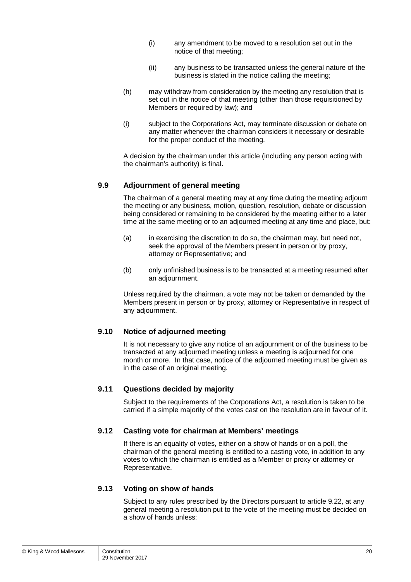- (i) any amendment to be moved to a resolution set out in the notice of that meeting;
- (ii) any business to be transacted unless the general nature of the business is stated in the notice calling the meeting;
- (h) may withdraw from consideration by the meeting any resolution that is set out in the notice of that meeting (other than those requisitioned by Members or required by law); and
- (i) subject to the Corporations Act, may terminate discussion or debate on any matter whenever the chairman considers it necessary or desirable for the proper conduct of the meeting.

A decision by the chairman under this article (including any person acting with the chairman's authority) is final.

#### **9.9 Adjournment of general meeting**

The chairman of a general meeting may at any time during the meeting adjourn the meeting or any business, motion, question, resolution, debate or discussion being considered or remaining to be considered by the meeting either to a later time at the same meeting or to an adjourned meeting at any time and place, but:

- (a) in exercising the discretion to do so, the chairman may, but need not, seek the approval of the Members present in person or by proxy, attorney or Representative; and
- (b) only unfinished business is to be transacted at a meeting resumed after an adjournment.

Unless required by the chairman, a vote may not be taken or demanded by the Members present in person or by proxy, attorney or Representative in respect of any adjournment.

#### **9.10 Notice of adjourned meeting**

It is not necessary to give any notice of an adjournment or of the business to be transacted at any adjourned meeting unless a meeting is adjourned for one month or more. In that case, notice of the adjourned meeting must be given as in the case of an original meeting.

#### **9.11 Questions decided by majority**

Subject to the requirements of the Corporations Act, a resolution is taken to be carried if a simple majority of the votes cast on the resolution are in favour of it.

#### **9.12 Casting vote for chairman at Members' meetings**

If there is an equality of votes, either on a show of hands or on a poll, the chairman of the general meeting is entitled to a casting vote, in addition to any votes to which the chairman is entitled as a Member or proxy or attorney or Representative.

#### **9.13 Voting on show of hands**

Subject to any rules prescribed by the Directors pursuant to article [9.22,](#page-28-1) at any general meeting a resolution put to the vote of the meeting must be decided on a show of hands unless: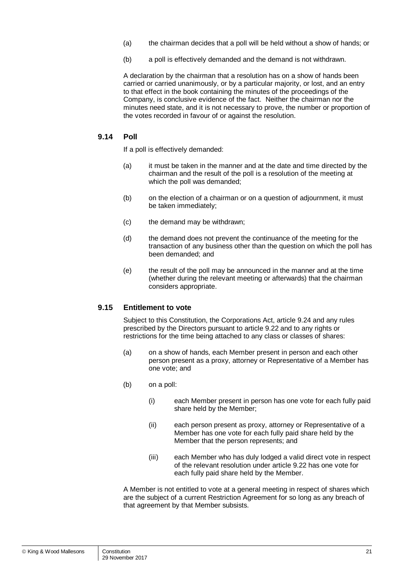- (a) the chairman decides that a poll will be held without a show of hands; or
- (b) a poll is effectively demanded and the demand is not withdrawn.

A declaration by the chairman that a resolution has on a show of hands been carried or carried unanimously, or by a particular majority, or lost, and an entry to that effect in the book containing the minutes of the proceedings of the Company, is conclusive evidence of the fact. Neither the chairman nor the minutes need state, and it is not necessary to prove, the number or proportion of the votes recorded in favour of or against the resolution.

#### **9.14 Poll**

If a poll is effectively demanded:

- (a) it must be taken in the manner and at the date and time directed by the chairman and the result of the poll is a resolution of the meeting at which the poll was demanded;
- (b) on the election of a chairman or on a question of adjournment, it must be taken immediately;
- (c) the demand may be withdrawn;
- (d) the demand does not prevent the continuance of the meeting for the transaction of any business other than the question on which the poll has been demanded; and
- (e) the result of the poll may be announced in the manner and at the time (whether during the relevant meeting or afterwards) that the chairman considers appropriate.

#### <span id="page-26-0"></span>**9.15 Entitlement to vote**

Subject to this Constitution, the Corporations Act, article [9.24](#page-28-0) and any rules prescribed by the Directors pursuant to article [9.22](#page-28-1) and to any rights or restrictions for the time being attached to any class or classes of shares:

- (a) on a show of hands, each Member present in person and each other person present as a proxy, attorney or Representative of a Member has one vote; and
- (b) on a poll:
	- (i) each Member present in person has one vote for each fully paid share held by the Member;
	- (ii) each person present as proxy, attorney or Representative of a Member has one vote for each fully paid share held by the Member that the person represents; and
	- (iii) each Member who has duly lodged a valid direct vote in respect of the relevant resolution under article [9.22](#page-28-1) has one vote for each fully paid share held by the Member.

A Member is not entitled to vote at a general meeting in respect of shares which are the subject of a current Restriction Agreement for so long as any breach of that agreement by that Member subsists.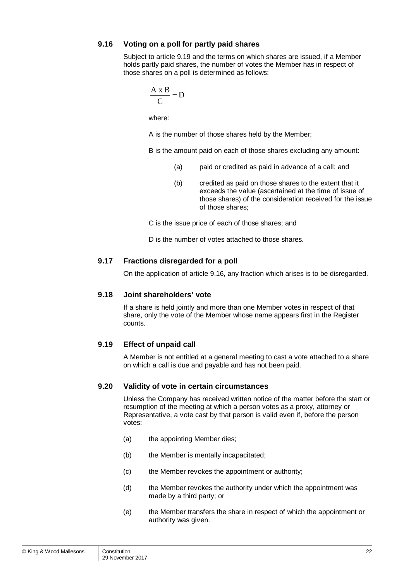#### <span id="page-27-1"></span>**9.16 Voting on a poll for partly paid shares**

Subject to article [9.19](#page-27-0) and the terms on which shares are issued, if a Member holds partly paid shares, the number of votes the Member has in respect of those shares on a poll is determined as follows:

$$
\frac{A \times B}{C} = D
$$

where:

A is the number of those shares held by the Member;

B is the amount paid on each of those shares excluding any amount:

- (a) paid or credited as paid in advance of a call; and
- (b) credited as paid on those shares to the extent that it exceeds the value (ascertained at the time of issue of those shares) of the consideration received for the issue of those shares;

C is the issue price of each of those shares; and

D is the number of votes attached to those shares.

#### **9.17 Fractions disregarded for a poll**

On the application of article [9.16,](#page-27-1) any fraction which arises is to be disregarded.

#### **9.18 Joint shareholders' vote**

If a share is held jointly and more than one Member votes in respect of that share, only the vote of the Member whose name appears first in the Register counts.

#### <span id="page-27-0"></span>**9.19 Effect of unpaid call**

A Member is not entitled at a general meeting to cast a vote attached to a share on which a call is due and payable and has not been paid.

#### **9.20 Validity of vote in certain circumstances**

Unless the Company has received written notice of the matter before the start or resumption of the meeting at which a person votes as a proxy, attorney or Representative, a vote cast by that person is valid even if, before the person votes:

- (a) the appointing Member dies;
- (b) the Member is mentally incapacitated;
- (c) the Member revokes the appointment or authority;
- (d) the Member revokes the authority under which the appointment was made by a third party; or
- (e) the Member transfers the share in respect of which the appointment or authority was given.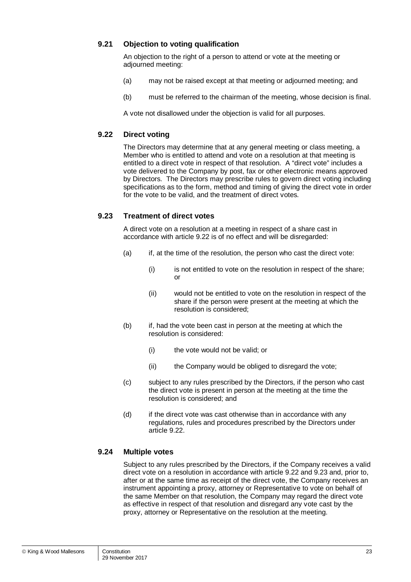#### **9.21 Objection to voting qualification**

An objection to the right of a person to attend or vote at the meeting or adjourned meeting:

- (a) may not be raised except at that meeting or adjourned meeting; and
- (b) must be referred to the chairman of the meeting, whose decision is final.

A vote not disallowed under the objection is valid for all purposes.

#### <span id="page-28-1"></span>**9.22 Direct voting**

The Directors may determine that at any general meeting or class meeting, a Member who is entitled to attend and vote on a resolution at that meeting is entitled to a direct vote in respect of that resolution. A "direct vote" includes a vote delivered to the Company by post, fax or other electronic means approved by Directors. The Directors may prescribe rules to govern direct voting including specifications as to the form, method and timing of giving the direct vote in order for the vote to be valid, and the treatment of direct votes.

#### <span id="page-28-2"></span>**9.23 Treatment of direct votes**

A direct vote on a resolution at a meeting in respect of a share cast in accordance with article [9.22](#page-28-1) is of no effect and will be disregarded:

- (a) if, at the time of the resolution, the person who cast the direct vote:
	- (i) is not entitled to vote on the resolution in respect of the share; or
	- (ii) would not be entitled to vote on the resolution in respect of the share if the person were present at the meeting at which the resolution is considered;
- (b) if, had the vote been cast in person at the meeting at which the resolution is considered:
	- (i) the vote would not be valid; or
	- (ii) the Company would be obliged to disregard the vote;
- (c) subject to any rules prescribed by the Directors, if the person who cast the direct vote is present in person at the meeting at the time the resolution is considered; and
- (d) if the direct vote was cast otherwise than in accordance with any regulations, rules and procedures prescribed by the Directors under article [9.22.](#page-28-1)

#### <span id="page-28-0"></span>**9.24 Multiple votes**

Subject to any rules prescribed by the Directors, if the Company receives a valid direct vote on a resolution in accordance with article [9.22](#page-28-1) and [9.23](#page-28-2) and, prior to, after or at the same time as receipt of the direct vote, the Company receives an instrument appointing a proxy, attorney or Representative to vote on behalf of the same Member on that resolution, the Company may regard the direct vote as effective in respect of that resolution and disregard any vote cast by the proxy, attorney or Representative on the resolution at the meeting.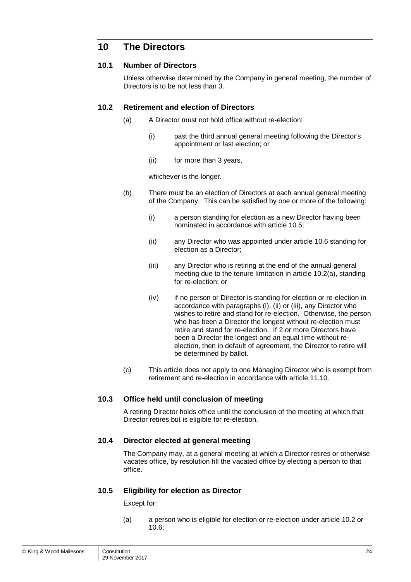## **10 The Directors**

#### <span id="page-29-3"></span>**10.1 Number of Directors**

Unless otherwise determined by the Company in general meeting, the number of Directors is to be not less than 3.

#### <span id="page-29-2"></span><span id="page-29-1"></span>**10.2 Retirement and election of Directors**

- (a) A Director must not hold office without re-election:
	- (i) past the third annual general meeting following the Director's appointment or last election; or
	- (ii) for more than 3 years,

whichever is the longer.

- (b) There must be an election of Directors at each annual general meeting of the Company. This can be satisfied by one or more of the following:
	- (i) a person standing for election as a new Director having been nominated in accordance with article [10.5;](#page-29-0)
	- (ii) any Director who was appointed under article [10.6](#page-30-0) standing for election as a Director;
	- (iii) any Director who is retiring at the end of the annual general meeting due to the tenure limitation in article [10.2\(a\),](#page-29-1) standing for re-election; or
	- (iv) if no person or Director is standing for election or re-election in accordance with paragraphs (i), (ii) or (iii), any Director who wishes to retire and stand for re-election. Otherwise, the person who has been a Director the longest without re-election must retire and stand for re-election. If 2 or more Directors have been a Director the longest and an equal time without reelection, then in default of agreement, the Director to retire will be determined by ballot.
- (c) This article does not apply to one Managing Director who is exempt from retirement and re-election in accordance with article [11.10.](#page-33-2)

#### **10.3 Office held until conclusion of meeting**

A retiring Director holds office until the conclusion of the meeting at which that Director retires but is eligible for re-election.

#### **10.4 Director elected at general meeting**

The Company may, at a general meeting at which a Director retires or otherwise vacates office, by resolution fill the vacated office by electing a person to that office.

#### <span id="page-29-0"></span>**10.5 Eligibility for election as Director**

Except for:

(a) a person who is eligible for election or re-election under article [10.2](#page-29-2) or [10.6;](#page-30-0)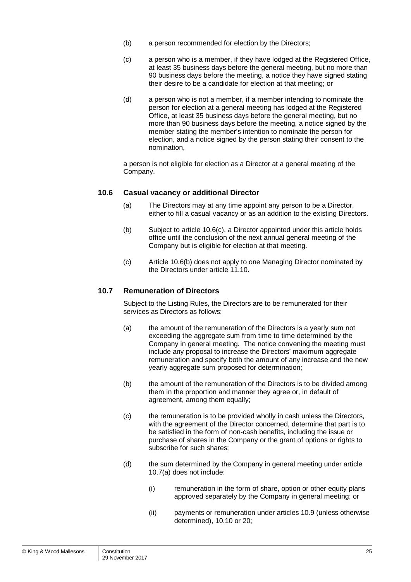- (b) a person recommended for election by the Directors;
- (c) a person who is a member, if they have lodged at the Registered Office, at least 35 business days before the general meeting, but no more than 90 business days before the meeting, a notice they have signed stating their desire to be a candidate for election at that meeting; or
- (d) a person who is not a member, if a member intending to nominate the person for election at a general meeting has lodged at the Registered Office, at least 35 business days before the general meeting, but no more than 90 business days before the meeting, a notice signed by the member stating the member's intention to nominate the person for election, and a notice signed by the person stating their consent to the nomination,

a person is not eligible for election as a Director at a general meeting of the Company.

#### <span id="page-30-0"></span>**10.6 Casual vacancy or additional Director**

- (a) The Directors may at any time appoint any person to be a Director, either to fill a casual vacancy or as an addition to the existing Directors.
- <span id="page-30-2"></span>(b) Subject to article [10.6\(c\),](#page-30-1) a Director appointed under this article holds office until the conclusion of the next annual general meeting of the Company but is eligible for election at that meeting.
- <span id="page-30-1"></span>(c) Article [10.6\(b\)](#page-30-2) does not apply to one Managing Director nominated by the Directors under article [11.10.](#page-33-2)

#### <span id="page-30-4"></span>**10.7 Remuneration of Directors**

Subject to the Listing Rules, the Directors are to be remunerated for their services as Directors as follows:

- <span id="page-30-3"></span>(a) the amount of the remuneration of the Directors is a yearly sum not exceeding the aggregate sum from time to time determined by the Company in general meeting. The notice convening the meeting must include any proposal to increase the Directors' maximum aggregate remuneration and specify both the amount of any increase and the new yearly aggregate sum proposed for determination;
- (b) the amount of the remuneration of the Directors is to be divided among them in the proportion and manner they agree or, in default of agreement, among them equally;
- (c) the remuneration is to be provided wholly in cash unless the Directors, with the agreement of the Director concerned, determine that part is to be satisfied in the form of non-cash benefits, including the issue or purchase of shares in the Company or the grant of options or rights to subscribe for such shares;
- (d) the sum determined by the Company in general meeting under article [10.7\(a\)](#page-30-3) does not include:
	- (i) remuneration in the form of share, option or other equity plans approved separately by the Company in general meeting; or
	- (ii) payments or remuneration under articles [10.9](#page-31-0) (unless otherwise determined), [10.10](#page-31-1) or [20;](#page-45-0)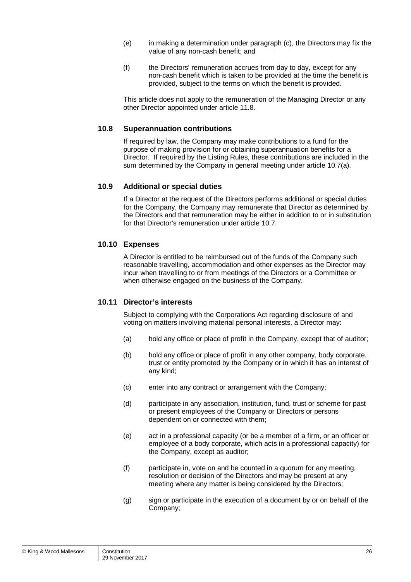- (e) in making a determination under paragraph (c), the Directors may fix the value of any non-cash benefit; and
- (f) the Directors' remuneration accrues from day to day, except for any non-cash benefit which is taken to be provided at the time the benefit is provided, subject to the terms on which the benefit is provided.

This article does not apply to the remuneration of the Managing Director or any other Director appointed under article [11.8.](#page-33-1)

#### <span id="page-31-3"></span>**10.8 Superannuation contributions**

If required by law, the Company may make contributions to a fund for the purpose of making provision for or obtaining superannuation benefits for a Director. If required by the Listing Rules, these contributions are included in the sum determined by the Company in general meeting under article [10.7\(a\).](#page-30-3)

#### <span id="page-31-0"></span>**10.9 Additional or special duties**

If a Director at the request of the Directors performs additional or special duties for the Company, the Company may remunerate that Director as determined by the Directors and that remuneration may be either in addition to or in substitution for that Director's remuneration under article [10.7.](#page-30-4)

#### <span id="page-31-1"></span>**10.10 Expenses**

A Director is entitled to be reimbursed out of the funds of the Company such reasonable travelling, accommodation and other expenses as the Director may incur when travelling to or from meetings of the Directors or a Committee or when otherwise engaged on the business of the Company.

#### <span id="page-31-2"></span>**10.11 Director's interests**

Subject to complying with the Corporations Act regarding disclosure of and voting on matters involving material personal interests, a Director may:

- (a) hold any office or place of profit in the Company, except that of auditor;
- (b) hold any office or place of profit in any other company, body corporate, trust or entity promoted by the Company or in which it has an interest of any kind;
- (c) enter into any contract or arrangement with the Company;
- (d) participate in any association, institution, fund, trust or scheme for past or present employees of the Company or Directors or persons dependent on or connected with them;
- (e) act in a professional capacity (or be a member of a firm, or an officer or employee of a body corporate, which acts in a professional capacity) for the Company, except as auditor;
- (f) participate in, vote on and be counted in a quorum for any meeting, resolution or decision of the Directors and may be present at any meeting where any matter is being considered by the Directors;
- (g) sign or participate in the execution of a document by or on behalf of the Company;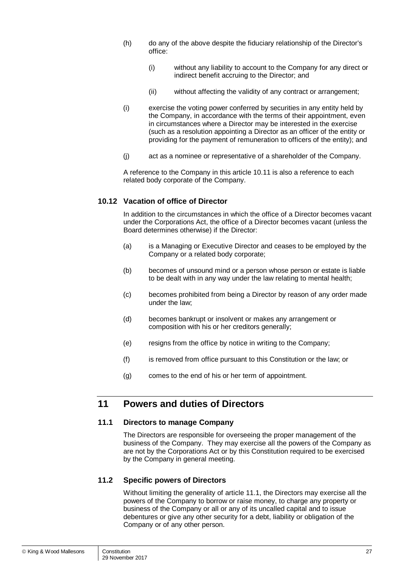- (h) do any of the above despite the fiduciary relationship of the Director's office:
	- (i) without any liability to account to the Company for any direct or indirect benefit accruing to the Director; and
	- (ii) without affecting the validity of any contract or arrangement;
- (i) exercise the voting power conferred by securities in any entity held by the Company, in accordance with the terms of their appointment, even in circumstances where a Director may be interested in the exercise (such as a resolution appointing a Director as an officer of the entity or providing for the payment of remuneration to officers of the entity); and
- (j) act as a nominee or representative of a shareholder of the Company.

A reference to the Company in this article [10.11](#page-31-2) is also a reference to each related body corporate of the Company.

#### **10.12 Vacation of office of Director**

In addition to the circumstances in which the office of a Director becomes vacant under the Corporations Act, the office of a Director becomes vacant (unless the Board determines otherwise) if the Director:

- (a) is a Managing or Executive Director and ceases to be employed by the Company or a related body corporate;
- (b) becomes of unsound mind or a person whose person or estate is liable to be dealt with in any way under the law relating to mental health;
- (c) becomes prohibited from being a Director by reason of any order made under the law;
- (d) becomes bankrupt or insolvent or makes any arrangement or composition with his or her creditors generally;
- (e) resigns from the office by notice in writing to the Company;
- (f) is removed from office pursuant to this Constitution or the law; or
- (g) comes to the end of his or her term of appointment.

## **11 Powers and duties of Directors**

#### <span id="page-32-0"></span>**11.1 Directors to manage Company**

The Directors are responsible for overseeing the proper management of the business of the Company. They may exercise all the powers of the Company as are not by the Corporations Act or by this Constitution required to be exercised by the Company in general meeting.

#### **11.2 Specific powers of Directors**

Without limiting the generality of article [11.1,](#page-32-0) the Directors may exercise all the powers of the Company to borrow or raise money, to charge any property or business of the Company or all or any of its uncalled capital and to issue debentures or give any other security for a debt, liability or obligation of the Company or of any other person.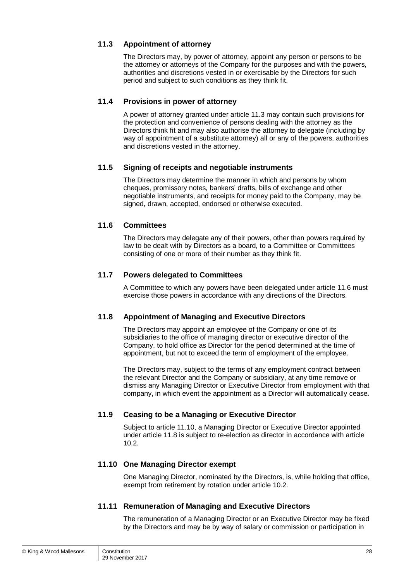#### <span id="page-33-3"></span>**11.3 Appointment of attorney**

The Directors may, by power of attorney, appoint any person or persons to be the attorney or attorneys of the Company for the purposes and with the powers, authorities and discretions vested in or exercisable by the Directors for such period and subject to such conditions as they think fit.

#### **11.4 Provisions in power of attorney**

A power of attorney granted under article [11.3](#page-33-3) may contain such provisions for the protection and convenience of persons dealing with the attorney as the Directors think fit and may also authorise the attorney to delegate (including by way of appointment of a substitute attorney) all or any of the powers, authorities and discretions vested in the attorney.

#### **11.5 Signing of receipts and negotiable instruments**

The Directors may determine the manner in which and persons by whom cheques, promissory notes, bankers' drafts, bills of exchange and other negotiable instruments, and receipts for money paid to the Company, may be signed, drawn, accepted, endorsed or otherwise executed.

#### <span id="page-33-0"></span>**11.6 Committees**

The Directors may delegate any of their powers, other than powers required by law to be dealt with by Directors as a board, to a Committee or Committees consisting of one or more of their number as they think fit.

#### **11.7 Powers delegated to Committees**

A Committee to which any powers have been delegated under article [11.6](#page-33-0) must exercise those powers in accordance with any directions of the Directors.

#### <span id="page-33-1"></span>**11.8 Appointment of Managing and Executive Directors**

The Directors may appoint an employee of the Company or one of its subsidiaries to the office of managing director or executive director of the Company, to hold office as Director for the period determined at the time of appointment, but not to exceed the term of employment of the employee.

The Directors may, subject to the terms of any employment contract between the relevant Director and the Company or subsidiary, at any time remove or dismiss any Managing Director or Executive Director from employment with that company**,** in which event the appointment as a Director will automatically cease**.**

#### **11.9 Ceasing to be a Managing or Executive Director**

Subject to article [11.10,](#page-33-2) a Managing Director or Executive Director appointed under article [11.8](#page-33-1) is subject to re-election as director in accordance with article [10.2.](#page-29-2)

#### <span id="page-33-2"></span>**11.10 One Managing Director exempt**

One Managing Director, nominated by the Directors, is, while holding that office, exempt from retirement by rotation under article [10.2.](#page-29-2)

#### **11.11 Remuneration of Managing and Executive Directors**

The remuneration of a Managing Director or an Executive Director may be fixed by the Directors and may be by way of salary or commission or participation in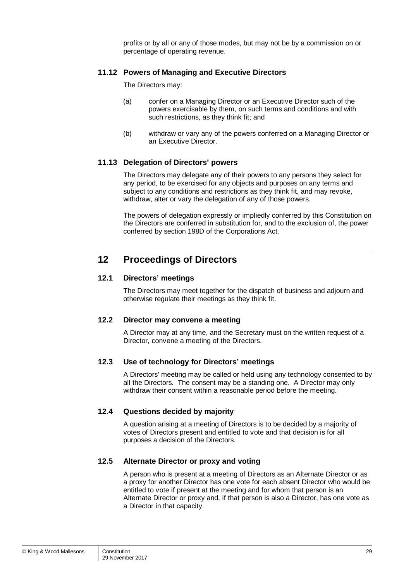profits or by all or any of those modes, but may not be by a commission on or percentage of operating revenue.

#### **11.12 Powers of Managing and Executive Directors**

The Directors may:

- (a) confer on a Managing Director or an Executive Director such of the powers exercisable by them, on such terms and conditions and with such restrictions, as they think fit; and
- (b) withdraw or vary any of the powers conferred on a Managing Director or an Executive Director.

#### **11.13 Delegation of Directors' powers**

The Directors may delegate any of their powers to any persons they select for any period, to be exercised for any objects and purposes on any terms and subject to any conditions and restrictions as they think fit, and may revoke, withdraw, alter or vary the delegation of any of those powers.

The powers of delegation expressly or impliedly conferred by this Constitution on the Directors are conferred in substitution for, and to the exclusion of, the power conferred by section 198D of the Corporations Act.

## **12 Proceedings of Directors**

#### **12.1 Directors' meetings**

The Directors may meet together for the dispatch of business and adjourn and otherwise regulate their meetings as they think fit.

#### **12.2 Director may convene a meeting**

A Director may at any time, and the Secretary must on the written request of a Director, convene a meeting of the Directors.

#### **12.3 Use of technology for Directors' meetings**

A Directors' meeting may be called or held using any technology consented to by all the Directors. The consent may be a standing one. A Director may only withdraw their consent within a reasonable period before the meeting.

#### **12.4 Questions decided by majority**

A question arising at a meeting of Directors is to be decided by a majority of votes of Directors present and entitled to vote and that decision is for all purposes a decision of the Directors.

#### **12.5 Alternate Director or proxy and voting**

A person who is present at a meeting of Directors as an Alternate Director or as a proxy for another Director has one vote for each absent Director who would be entitled to vote if present at the meeting and for whom that person is an Alternate Director or proxy and, if that person is also a Director, has one vote as a Director in that capacity.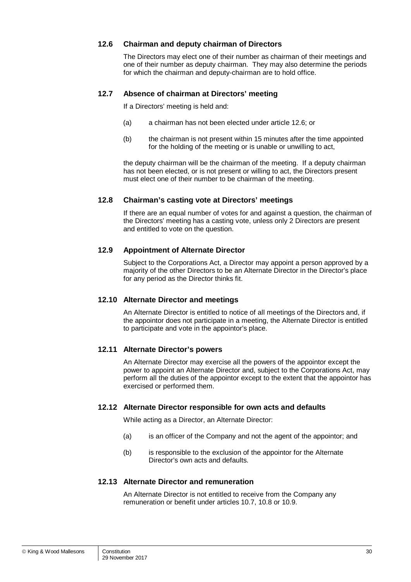#### <span id="page-35-1"></span>**12.6 Chairman and deputy chairman of Directors**

The Directors may elect one of their number as chairman of their meetings and one of their number as deputy chairman. They may also determine the periods for which the chairman and deputy-chairman are to hold office.

#### **12.7 Absence of chairman at Directors' meeting**

If a Directors' meeting is held and:

- (a) a chairman has not been elected under article [12.6;](#page-35-1) or
- (b) the chairman is not present within 15 minutes after the time appointed for the holding of the meeting or is unable or unwilling to act,

the deputy chairman will be the chairman of the meeting. If a deputy chairman has not been elected, or is not present or willing to act, the Directors present must elect one of their number to be chairman of the meeting.

#### **12.8 Chairman's casting vote at Directors' meetings**

If there are an equal number of votes for and against a question, the chairman of the Directors' meeting has a casting vote, unless only 2 Directors are present and entitled to vote on the question.

#### <span id="page-35-0"></span>**12.9 Appointment of Alternate Director**

Subject to the Corporations Act, a Director may appoint a person approved by a majority of the other Directors to be an Alternate Director in the Director's place for any period as the Director thinks fit.

#### **12.10 Alternate Director and meetings**

An Alternate Director is entitled to notice of all meetings of the Directors and, if the appointor does not participate in a meeting, the Alternate Director is entitled to participate and vote in the appointor's place.

#### **12.11 Alternate Director's powers**

An Alternate Director may exercise all the powers of the appointor except the power to appoint an Alternate Director and, subject to the Corporations Act, may perform all the duties of the appointor except to the extent that the appointor has exercised or performed them.

#### **12.12 Alternate Director responsible for own acts and defaults**

While acting as a Director, an Alternate Director:

- (a) is an officer of the Company and not the agent of the appointor; and
- (b) is responsible to the exclusion of the appointor for the Alternate Director's own acts and defaults.

#### **12.13 Alternate Director and remuneration**

An Alternate Director is not entitled to receive from the Company any remuneration or benefit under articles [10.7,](#page-30-4) [10.8](#page-31-3) or [10.9.](#page-31-0)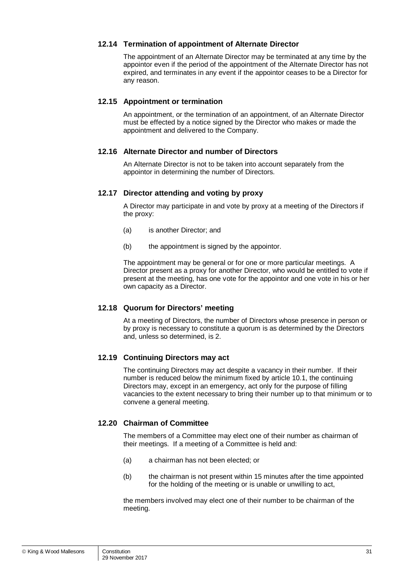#### **12.14 Termination of appointment of Alternate Director**

The appointment of an Alternate Director may be terminated at any time by the appointor even if the period of the appointment of the Alternate Director has not expired, and terminates in any event if the appointor ceases to be a Director for any reason.

#### **12.15 Appointment or termination**

An appointment, or the termination of an appointment, of an Alternate Director must be effected by a notice signed by the Director who makes or made the appointment and delivered to the Company.

#### **12.16 Alternate Director and number of Directors**

An Alternate Director is not to be taken into account separately from the appointor in determining the number of Directors.

#### **12.17 Director attending and voting by proxy**

A Director may participate in and vote by proxy at a meeting of the Directors if the proxy:

- (a) is another Director; and
- (b) the appointment is signed by the appointor.

The appointment may be general or for one or more particular meetings. A Director present as a proxy for another Director, who would be entitled to vote if present at the meeting, has one vote for the appointor and one vote in his or her own capacity as a Director.

#### **12.18 Quorum for Directors' meeting**

At a meeting of Directors, the number of Directors whose presence in person or by proxy is necessary to constitute a quorum is as determined by the Directors and, unless so determined, is 2.

#### **12.19 Continuing Directors may act**

The continuing Directors may act despite a vacancy in their number. If their number is reduced below the minimum fixed by article [10.1,](#page-29-3) the continuing Directors may, except in an emergency, act only for the purpose of filling vacancies to the extent necessary to bring their number up to that minimum or to convene a general meeting.

#### **12.20 Chairman of Committee**

The members of a Committee may elect one of their number as chairman of their meetings. If a meeting of a Committee is held and:

- (a) a chairman has not been elected; or
- (b) the chairman is not present within 15 minutes after the time appointed for the holding of the meeting or is unable or unwilling to act,

the members involved may elect one of their number to be chairman of the meeting.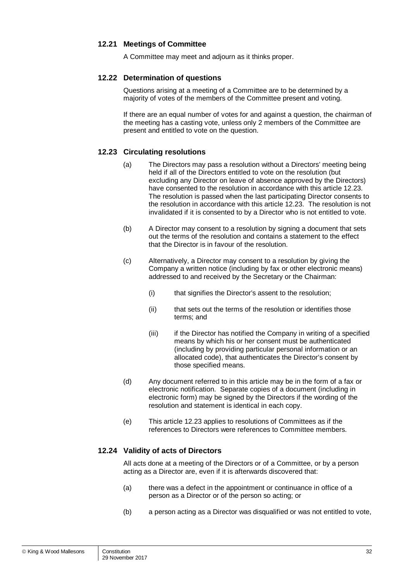#### **12.21 Meetings of Committee**

A Committee may meet and adjourn as it thinks proper.

#### **12.22 Determination of questions**

Questions arising at a meeting of a Committee are to be determined by a majority of votes of the members of the Committee present and voting.

If there are an equal number of votes for and against a question, the chairman of the meeting has a casting vote, unless only 2 members of the Committee are present and entitled to vote on the question.

#### <span id="page-37-0"></span>**12.23 Circulating resolutions**

- (a) The Directors may pass a resolution without a Directors' meeting being held if all of the Directors entitled to vote on the resolution (but excluding any Director on leave of absence approved by the Directors) have consented to the resolution in accordance with this article [12.23.](#page-37-0) The resolution is passed when the last participating Director consents to the resolution in accordance with this article [12.23.](#page-37-0) The resolution is not invalidated if it is consented to by a Director who is not entitled to vote.
- (b) A Director may consent to a resolution by signing a document that sets out the terms of the resolution and contains a statement to the effect that the Director is in favour of the resolution.
- (c) Alternatively, a Director may consent to a resolution by giving the Company a written notice (including by fax or other electronic means) addressed to and received by the Secretary or the Chairman:
	- (i) that signifies the Director's assent to the resolution;
	- (ii) that sets out the terms of the resolution or identifies those terms; and
	- (iii) if the Director has notified the Company in writing of a specified means by which his or her consent must be authenticated (including by providing particular personal information or an allocated code), that authenticates the Director's consent by those specified means.
- (d) Any document referred to in this article may be in the form of a fax or electronic notification. Separate copies of a document (including in electronic form) may be signed by the Directors if the wording of the resolution and statement is identical in each copy.
- (e) This article [12.23](#page-37-0) applies to resolutions of Committees as if the references to Directors were references to Committee members.

#### **12.24 Validity of acts of Directors**

All acts done at a meeting of the Directors or of a Committee, or by a person acting as a Director are, even if it is afterwards discovered that:

- (a) there was a defect in the appointment or continuance in office of a person as a Director or of the person so acting; or
- (b) a person acting as a Director was disqualified or was not entitled to vote,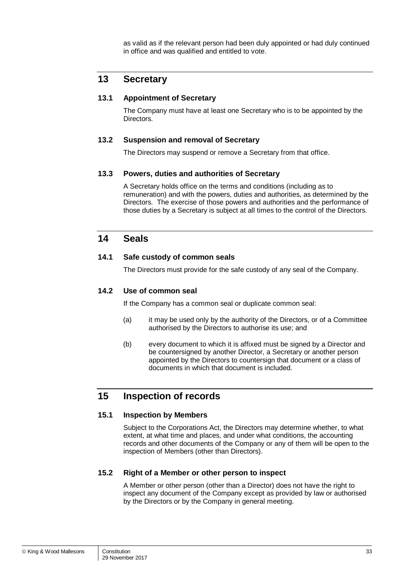as valid as if the relevant person had been duly appointed or had duly continued in office and was qualified and entitled to vote.

## **13 Secretary**

#### <span id="page-38-0"></span>**13.1 Appointment of Secretary**

The Company must have at least one Secretary who is to be appointed by the Directors.

#### **13.2 Suspension and removal of Secretary**

The Directors may suspend or remove a Secretary from that office.

#### **13.3 Powers, duties and authorities of Secretary**

A Secretary holds office on the terms and conditions (including as to remuneration) and with the powers, duties and authorities, as determined by the Directors. The exercise of those powers and authorities and the performance of those duties by a Secretary is subject at all times to the control of the Directors.

#### **14 Seals**

#### **14.1 Safe custody of common seals**

The Directors must provide for the safe custody of any seal of the Company.

#### **14.2 Use of common seal**

If the Company has a common seal or duplicate common seal:

- (a) it may be used only by the authority of the Directors, or of a Committee authorised by the Directors to authorise its use; and
- (b) every document to which it is affixed must be signed by a Director and be countersigned by another Director, a Secretary or another person appointed by the Directors to countersign that document or a class of documents in which that document is included.

## **15 Inspection of records**

#### **15.1 Inspection by Members**

Subject to the Corporations Act, the Directors may determine whether, to what extent, at what time and places, and under what conditions, the accounting records and other documents of the Company or any of them will be open to the inspection of Members (other than Directors).

#### **15.2 Right of a Member or other person to inspect**

A Member or other person (other than a Director) does not have the right to inspect any document of the Company except as provided by law or authorised by the Directors or by the Company in general meeting.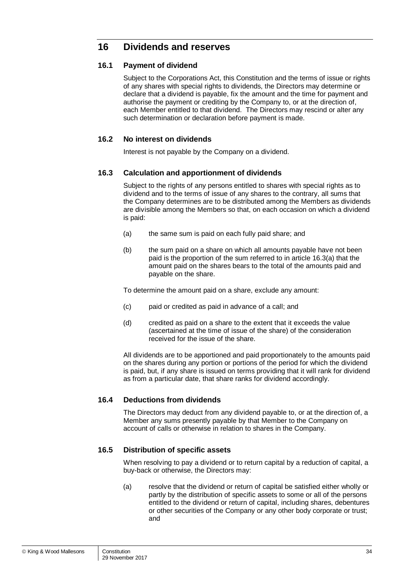## **16 Dividends and reserves**

#### **16.1 Payment of dividend**

Subject to the Corporations Act, this Constitution and the terms of issue or rights of any shares with special rights to dividends, the Directors may determine or declare that a dividend is payable, fix the amount and the time for payment and authorise the payment or crediting by the Company to, or at the direction of, each Member entitled to that dividend. The Directors may rescind or alter any such determination or declaration before payment is made.

#### **16.2 No interest on dividends**

Interest is not payable by the Company on a dividend.

#### **16.3 Calculation and apportionment of dividends**

Subject to the rights of any persons entitled to shares with special rights as to dividend and to the terms of issue of any shares to the contrary, all sums that the Company determines are to be distributed among the Members as dividends are divisible among the Members so that, on each occasion on which a dividend is paid:

- <span id="page-39-0"></span>(a) the same sum is paid on each fully paid share; and
- (b) the sum paid on a share on which all amounts payable have not been paid is the proportion of the sum referred to in article [16.3\(a\)](#page-39-0) that the amount paid on the shares bears to the total of the amounts paid and payable on the share.

To determine the amount paid on a share, exclude any amount:

- (c) paid or credited as paid in advance of a call; and
- (d) credited as paid on a share to the extent that it exceeds the value (ascertained at the time of issue of the share) of the consideration received for the issue of the share.

All dividends are to be apportioned and paid proportionately to the amounts paid on the shares during any portion or portions of the period for which the dividend is paid, but, if any share is issued on terms providing that it will rank for dividend as from a particular date, that share ranks for dividend accordingly.

#### **16.4 Deductions from dividends**

The Directors may deduct from any dividend payable to, or at the direction of, a Member any sums presently payable by that Member to the Company on account of calls or otherwise in relation to shares in the Company.

#### **16.5 Distribution of specific assets**

When resolving to pay a dividend or to return capital by a reduction of capital, a buy-back or otherwise, the Directors may:

(a) resolve that the dividend or return of capital be satisfied either wholly or partly by the distribution of specific assets to some or all of the persons entitled to the dividend or return of capital, including shares, debentures or other securities of the Company or any other body corporate or trust; and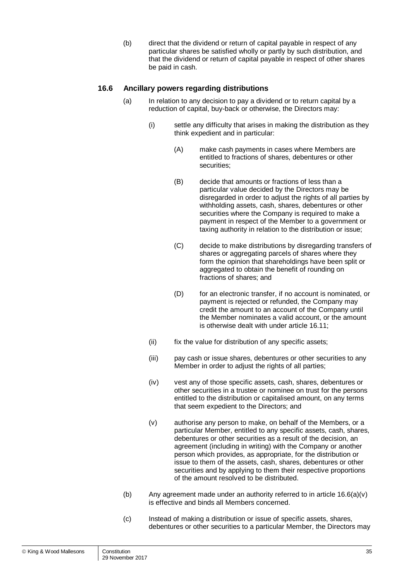(b) direct that the dividend or return of capital payable in respect of any particular shares be satisfied wholly or partly by such distribution, and that the dividend or return of capital payable in respect of other shares be paid in cash.

#### **16.6 Ancillary powers regarding distributions**

- (a) In relation to any decision to pay a dividend or to return capital by a reduction of capital, buy-back or otherwise, the Directors may:
	- (i) settle any difficulty that arises in making the distribution as they think expedient and in particular:
		- (A) make cash payments in cases where Members are entitled to fractions of shares, debentures or other securities;
		- (B) decide that amounts or fractions of less than a particular value decided by the Directors may be disregarded in order to adjust the rights of all parties by withholding assets, cash, shares, debentures or other securities where the Company is required to make a payment in respect of the Member to a government or taxing authority in relation to the distribution or issue;
		- (C) decide to make distributions by disregarding transfers of shares or aggregating parcels of shares where they form the opinion that shareholdings have been split or aggregated to obtain the benefit of rounding on fractions of shares; and
		- (D) for an electronic transfer, if no account is nominated, or payment is rejected or refunded, the Company may credit the amount to an account of the Company until the Member nominates a valid account, or the amount is otherwise dealt with under article [16.11;](#page-42-0)
	- (ii) fix the value for distribution of any specific assets:
	- (iii) pay cash or issue shares, debentures or other securities to any Member in order to adjust the rights of all parties;
	- (iv) vest any of those specific assets, cash, shares, debentures or other securities in a trustee or nominee on trust for the persons entitled to the distribution or capitalised amount, on any terms that seem expedient to the Directors; and
	- (v) authorise any person to make, on behalf of the Members, or a particular Member, entitled to any specific assets, cash, shares, debentures or other securities as a result of the decision, an agreement (including in writing) with the Company or another person which provides, as appropriate, for the distribution or issue to them of the assets, cash, shares, debentures or other securities and by applying to them their respective proportions of the amount resolved to be distributed.
- <span id="page-40-0"></span>(b) Any agreement made under an authority referred to in article  $16.6(a)(v)$ is effective and binds all Members concerned.
- (c) Instead of making a distribution or issue of specific assets, shares, debentures or other securities to a particular Member, the Directors may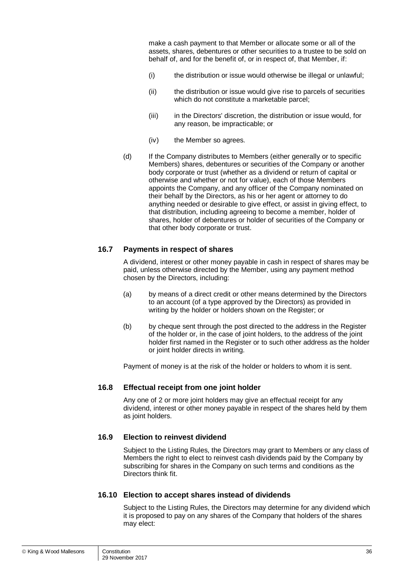make a cash payment to that Member or allocate some or all of the assets, shares, debentures or other securities to a trustee to be sold on behalf of, and for the benefit of, or in respect of, that Member, if:

- (i) the distribution or issue would otherwise be illegal or unlawful;
- (ii) the distribution or issue would give rise to parcels of securities which do not constitute a marketable parcel;
- (iii) in the Directors' discretion, the distribution or issue would, for any reason, be impracticable; or
- (iv) the Member so agrees.
- (d) If the Company distributes to Members (either generally or to specific Members) shares, debentures or securities of the Company or another body corporate or trust (whether as a dividend or return of capital or otherwise and whether or not for value), each of those Members appoints the Company, and any officer of the Company nominated on their behalf by the Directors, as his or her agent or attorney to do anything needed or desirable to give effect, or assist in giving effect, to that distribution, including agreeing to become a member, holder of shares, holder of debentures or holder of securities of the Company or that other body corporate or trust.

#### <span id="page-41-0"></span>**16.7 Payments in respect of shares**

A dividend, interest or other money payable in cash in respect of shares may be paid, unless otherwise directed by the Member, using any payment method chosen by the Directors, including:

- (a) by means of a direct credit or other means determined by the Directors to an account (of a type approved by the Directors) as provided in writing by the holder or holders shown on the Register; or
- (b) by cheque sent through the post directed to the address in the Register of the holder or, in the case of joint holders, to the address of the joint holder first named in the Register or to such other address as the holder or joint holder directs in writing.

Payment of money is at the risk of the holder or holders to whom it is sent.

#### **16.8 Effectual receipt from one joint holder**

Any one of 2 or more joint holders may give an effectual receipt for any dividend, interest or other money payable in respect of the shares held by them as joint holders.

#### **16.9 Election to reinvest dividend**

Subject to the Listing Rules, the Directors may grant to Members or any class of Members the right to elect to reinvest cash dividends paid by the Company by subscribing for shares in the Company on such terms and conditions as the Directors think fit.

#### **16.10 Election to accept shares instead of dividends**

Subject to the Listing Rules, the Directors may determine for any dividend which it is proposed to pay on any shares of the Company that holders of the shares may elect: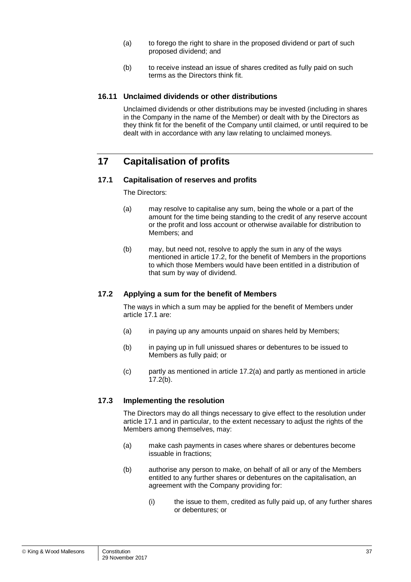- (a) to forego the right to share in the proposed dividend or part of such proposed dividend; and
- (b) to receive instead an issue of shares credited as fully paid on such terms as the Directors think fit.

#### <span id="page-42-0"></span>**16.11 Unclaimed dividends or other distributions**

Unclaimed dividends or other distributions may be invested (including in shares in the Company in the name of the Member) or dealt with by the Directors as they think fit for the benefit of the Company until claimed, or until required to be dealt with in accordance with any law relating to unclaimed moneys.

## **17 Capitalisation of profits**

#### <span id="page-42-2"></span>**17.1 Capitalisation of reserves and profits**

The Directors:

- (a) may resolve to capitalise any sum, being the whole or a part of the amount for the time being standing to the credit of any reserve account or the profit and loss account or otherwise available for distribution to Members; and
- (b) may, but need not, resolve to apply the sum in any of the ways mentioned in article [17.2,](#page-42-1) for the benefit of Members in the proportions to which those Members would have been entitled in a distribution of that sum by way of dividend.

#### <span id="page-42-1"></span>**17.2 Applying a sum for the benefit of Members**

The ways in which a sum may be applied for the benefit of Members under article [17.1](#page-42-2) are:

- <span id="page-42-3"></span>(a) in paying up any amounts unpaid on shares held by Members;
- <span id="page-42-4"></span>(b) in paying up in full unissued shares or debentures to be issued to Members as fully paid; or
- (c) partly as mentioned in article [17.2\(a\)](#page-42-3) and partly as mentioned in article [17.2\(b\).](#page-42-4)

#### **17.3 Implementing the resolution**

The Directors may do all things necessary to give effect to the resolution under article [17.1](#page-42-2) and in particular, to the extent necessary to adjust the rights of the Members among themselves, may:

- (a) make cash payments in cases where shares or debentures become issuable in fractions;
- (b) authorise any person to make, on behalf of all or any of the Members entitled to any further shares or debentures on the capitalisation, an agreement with the Company providing for:
	- (i) the issue to them, credited as fully paid up, of any further shares or debentures; or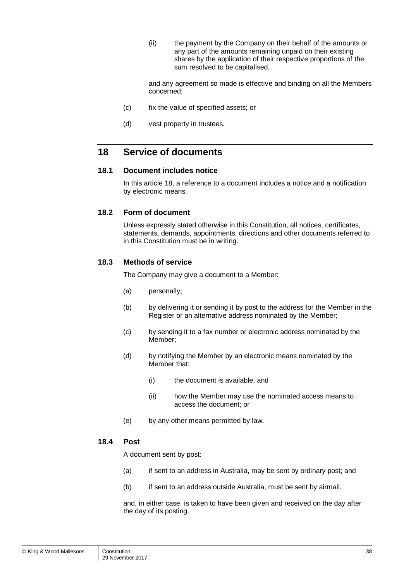(ii) the payment by the Company on their behalf of the amounts or any part of the amounts remaining unpaid on their existing shares by the application of their respective proportions of the sum resolved to be capitalised,

and any agreement so made is effective and binding on all the Members concerned;

- (c) fix the value of specified assets; or
- (d) vest property in trustees.

## <span id="page-43-0"></span>**18 Service of documents**

#### **18.1 Document includes notice**

In this article [18,](#page-43-0) a reference to a document includes a notice and a notification by electronic means.

#### **18.2 Form of document**

Unless expressly stated otherwise in this Constitution, all notices, certificates, statements, demands, appointments, directions and other documents referred to in this Constitution must be in writing.

#### <span id="page-43-1"></span>**18.3 Methods of service**

The Company may give a document to a Member:

- (a) personally;
- (b) by delivering it or sending it by post to the address for the Member in the Register or an alternative address nominated by the Member;
- (c) by sending it to a fax number or electronic address nominated by the Member;
- (d) by notifying the Member by an electronic means nominated by the Member that:
	- (i) the document is available; and
	- (ii) how the Member may use the nominated access means to access the document; or
- (e) by any other means permitted by law.

#### **18.4 Post**

A document sent by post:

- (a) if sent to an address in Australia, may be sent by ordinary post; and
- (b) if sent to an address outside Australia, must be sent by airmail,

and, in either case, is taken to have been given and received on the day after the day of its posting.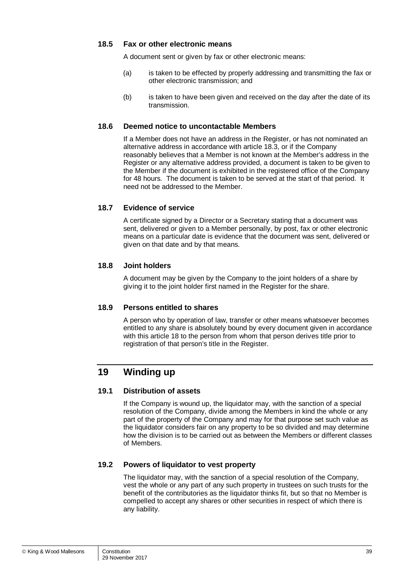#### **18.5 Fax or other electronic means**

A document sent or given by fax or other electronic means:

- (a) is taken to be effected by properly addressing and transmitting the fax or other electronic transmission; and
- (b) is taken to have been given and received on the day after the date of its transmission.

#### **18.6 Deemed notice to uncontactable Members**

If a Member does not have an address in the Register, or has not nominated an alternative address in accordance with article [18.3,](#page-43-1) or if the Company reasonably believes that a Member is not known at the Member's address in the Register or any alternative address provided, a document is taken to be given to the Member if the document is exhibited in the registered office of the Company for 48 hours. The document is taken to be served at the start of that period. It need not be addressed to the Member.

#### **18.7 Evidence of service**

A certificate signed by a Director or a Secretary stating that a document was sent, delivered or given to a Member personally, by post, fax or other electronic means on a particular date is evidence that the document was sent, delivered or given on that date and by that means.

#### **18.8 Joint holders**

A document may be given by the Company to the joint holders of a share by giving it to the joint holder first named in the Register for the share.

#### **18.9 Persons entitled to shares**

A person who by operation of law, transfer or other means whatsoever becomes entitled to any share is absolutely bound by every document given in accordance with this article [18](#page-43-0) to the person from whom that person derives title prior to registration of that person's title in the Register.

## **19 Winding up**

#### <span id="page-44-0"></span>**19.1 Distribution of assets**

If the Company is wound up, the liquidator may, with the sanction of a special resolution of the Company, divide among the Members in kind the whole or any part of the property of the Company and may for that purpose set such value as the liquidator considers fair on any property to be so divided and may determine how the division is to be carried out as between the Members or different classes of Members.

#### <span id="page-44-1"></span>**19.2 Powers of liquidator to vest property**

The liquidator may, with the sanction of a special resolution of the Company, vest the whole or any part of any such property in trustees on such trusts for the benefit of the contributories as the liquidator thinks fit, but so that no Member is compelled to accept any shares or other securities in respect of which there is any liability.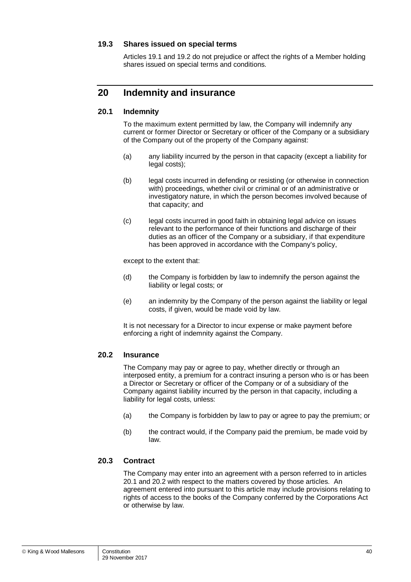#### **19.3 Shares issued on special terms**

Articles [19.1](#page-44-0) and [19.2](#page-44-1) do not prejudice or affect the rights of a Member holding shares issued on special terms and conditions.

## <span id="page-45-0"></span>**20 Indemnity and insurance**

#### <span id="page-45-1"></span>**20.1 Indemnity**

To the maximum extent permitted by law, the Company will indemnify any current or former Director or Secretary or officer of the Company or a subsidiary of the Company out of the property of the Company against:

- (a) any liability incurred by the person in that capacity (except a liability for legal costs);
- (b) legal costs incurred in defending or resisting (or otherwise in connection with) proceedings, whether civil or criminal or of an administrative or investigatory nature, in which the person becomes involved because of that capacity; and
- (c) legal costs incurred in good faith in obtaining legal advice on issues relevant to the performance of their functions and discharge of their duties as an officer of the Company or a subsidiary, if that expenditure has been approved in accordance with the Company's policy,

except to the extent that:

- (d) the Company is forbidden by law to indemnify the person against the liability or legal costs; or
- (e) an indemnity by the Company of the person against the liability or legal costs, if given, would be made void by law.

It is not necessary for a Director to incur expense or make payment before enforcing a right of indemnity against the Company.

#### <span id="page-45-2"></span>**20.2 Insurance**

The Company may pay or agree to pay, whether directly or through an interposed entity, a premium for a contract insuring a person who is or has been a Director or Secretary or officer of the Company or of a subsidiary of the Company against liability incurred by the person in that capacity, including a liability for legal costs, unless:

- (a) the Company is forbidden by law to pay or agree to pay the premium; or
- (b) the contract would, if the Company paid the premium, be made void by law.

#### **20.3 Contract**

The Company may enter into an agreement with a person referred to in articles [20.1](#page-45-1) and [20.2](#page-45-2) with respect to the matters covered by those articles. An agreement entered into pursuant to this article may include provisions relating to rights of access to the books of the Company conferred by the Corporations Act or otherwise by law.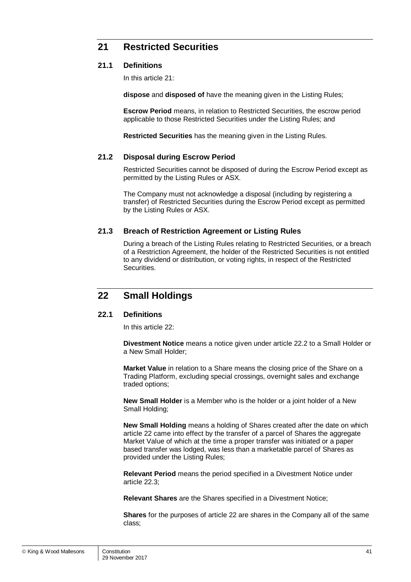## <span id="page-46-0"></span>**21 Restricted Securities**

#### **21.1 Definitions**

In this article [21:](#page-46-0)

**dispose** and **disposed of** have the meaning given in the Listing Rules;

**Escrow Period** means, in relation to Restricted Securities, the escrow period applicable to those Restricted Securities under the Listing Rules; and

**Restricted Securities** has the meaning given in the Listing Rules.

#### **21.2 Disposal during Escrow Period**

Restricted Securities cannot be disposed of during the Escrow Period except as permitted by the Listing Rules or ASX.

The Company must not acknowledge a disposal (including by registering a transfer) of Restricted Securities during the Escrow Period except as permitted by the Listing Rules or ASX.

#### **21.3 Breach of Restriction Agreement or Listing Rules**

During a breach of the Listing Rules relating to Restricted Securities, or a breach of a Restriction Agreement, the holder of the Restricted Securities is not entitled to any dividend or distribution, or voting rights, in respect of the Restricted Securities.

## <span id="page-46-1"></span>**22 Small Holdings**

#### **22.1 Definitions**

In this article [22:](#page-46-1)

**Divestment Notice** means a notice given under article [22.2](#page-47-0) to a Small Holder or a New Small Holder;

**Market Value** in relation to a Share means the closing price of the Share on a Trading Platform, excluding special crossings, overnight sales and exchange traded options;

**New Small Holder** is a Member who is the holder or a joint holder of a New Small Holding;

**New Small Holding** means a holding of Shares created after the date on which article [22](#page-46-1) came into effect by the transfer of a parcel of Shares the aggregate Market Value of which at the time a proper transfer was initiated or a paper based transfer was lodged, was less than a marketable parcel of Shares as provided under the Listing Rules;

**Relevant Period** means the period specified in a Divestment Notice under article [22.3;](#page-47-1)

**Relevant Shares** are the Shares specified in a Divestment Notice;

**Shares** for the purposes of article [22](#page-46-1) are shares in the Company all of the same class;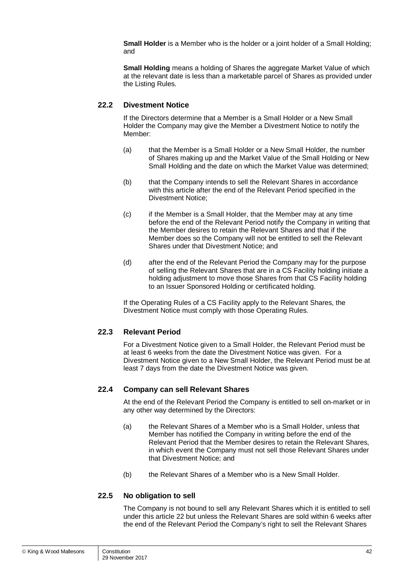**Small Holder** is a Member who is the holder or a joint holder of a Small Holding; and

**Small Holding** means a holding of Shares the aggregate Market Value of which at the relevant date is less than a marketable parcel of Shares as provided under the Listing Rules.

#### <span id="page-47-0"></span>**22.2 Divestment Notice**

If the Directors determine that a Member is a Small Holder or a New Small Holder the Company may give the Member a Divestment Notice to notify the Member:

- (a) that the Member is a Small Holder or a New Small Holder, the number of Shares making up and the Market Value of the Small Holding or New Small Holding and the date on which the Market Value was determined;
- (b) that the Company intends to sell the Relevant Shares in accordance with this article after the end of the Relevant Period specified in the Divestment Notice;
- (c) if the Member is a Small Holder, that the Member may at any time before the end of the Relevant Period notify the Company in writing that the Member desires to retain the Relevant Shares and that if the Member does so the Company will not be entitled to sell the Relevant Shares under that Divestment Notice; and
- (d) after the end of the Relevant Period the Company may for the purpose of selling the Relevant Shares that are in a CS Facility holding initiate a holding adjustment to move those Shares from that CS Facility holding to an Issuer Sponsored Holding or certificated holding.

If the Operating Rules of a CS Facility apply to the Relevant Shares, the Divestment Notice must comply with those Operating Rules.

#### <span id="page-47-1"></span>**22.3 Relevant Period**

For a Divestment Notice given to a Small Holder, the Relevant Period must be at least 6 weeks from the date the Divestment Notice was given. For a Divestment Notice given to a New Small Holder, the Relevant Period must be at least 7 days from the date the Divestment Notice was given.

#### **22.4 Company can sell Relevant Shares**

At the end of the Relevant Period the Company is entitled to sell on-market or in any other way determined by the Directors:

- (a) the Relevant Shares of a Member who is a Small Holder, unless that Member has notified the Company in writing before the end of the Relevant Period that the Member desires to retain the Relevant Shares, in which event the Company must not sell those Relevant Shares under that Divestment Notice; and
- (b) the Relevant Shares of a Member who is a New Small Holder.

#### **22.5 No obligation to sell**

The Company is not bound to sell any Relevant Shares which it is entitled to sell under this article [22](#page-46-1) but unless the Relevant Shares are sold within 6 weeks after the end of the Relevant Period the Company's right to sell the Relevant Shares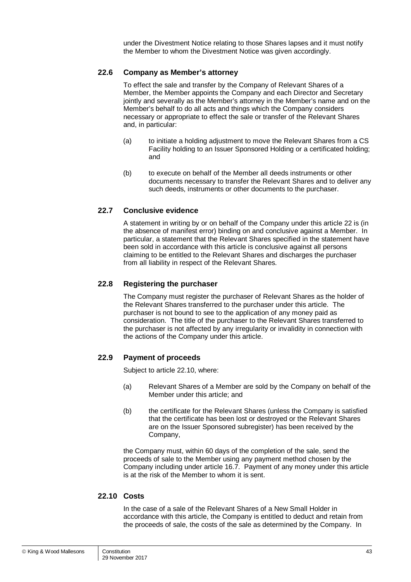under the Divestment Notice relating to those Shares lapses and it must notify the Member to whom the Divestment Notice was given accordingly.

#### **22.6 Company as Member's attorney**

To effect the sale and transfer by the Company of Relevant Shares of a Member, the Member appoints the Company and each Director and Secretary jointly and severally as the Member's attorney in the Member's name and on the Member's behalf to do all acts and things which the Company considers necessary or appropriate to effect the sale or transfer of the Relevant Shares and, in particular:

- (a) to initiate a holding adjustment to move the Relevant Shares from a CS Facility holding to an Issuer Sponsored Holding or a certificated holding; and
- (b) to execute on behalf of the Member all deeds instruments or other documents necessary to transfer the Relevant Shares and to deliver any such deeds, instruments or other documents to the purchaser.

#### **22.7 Conclusive evidence**

A statement in writing by or on behalf of the Company under this article [22](#page-46-1) is (in the absence of manifest error) binding on and conclusive against a Member. In particular, a statement that the Relevant Shares specified in the statement have been sold in accordance with this article is conclusive against all persons claiming to be entitled to the Relevant Shares and discharges the purchaser from all liability in respect of the Relevant Shares.

#### **22.8 Registering the purchaser**

The Company must register the purchaser of Relevant Shares as the holder of the Relevant Shares transferred to the purchaser under this article. The purchaser is not bound to see to the application of any money paid as consideration. The title of the purchaser to the Relevant Shares transferred to the purchaser is not affected by any irregularity or invalidity in connection with the actions of the Company under this article.

#### **22.9 Payment of proceeds**

Subject to article [22.10,](#page-48-0) where:

- (a) Relevant Shares of a Member are sold by the Company on behalf of the Member under this article; and
- (b) the certificate for the Relevant Shares (unless the Company is satisfied that the certificate has been lost or destroyed or the Relevant Shares are on the Issuer Sponsored subregister) has been received by the Company,

the Company must, within 60 days of the completion of the sale, send the proceeds of sale to the Member using any payment method chosen by the Company including under article [16.7.](#page-41-0) Payment of any money under this article is at the risk of the Member to whom it is sent.

#### <span id="page-48-0"></span>**22.10 Costs**

In the case of a sale of the Relevant Shares of a New Small Holder in accordance with this article, the Company is entitled to deduct and retain from the proceeds of sale, the costs of the sale as determined by the Company. In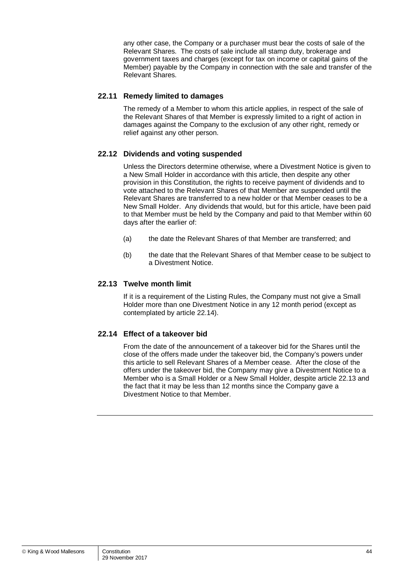any other case, the Company or a purchaser must bear the costs of sale of the Relevant Shares. The costs of sale include all stamp duty, brokerage and government taxes and charges (except for tax on income or capital gains of the Member) payable by the Company in connection with the sale and transfer of the Relevant Shares.

#### **22.11 Remedy limited to damages**

The remedy of a Member to whom this article applies, in respect of the sale of the Relevant Shares of that Member is expressly limited to a right of action in damages against the Company to the exclusion of any other right, remedy or relief against any other person.

#### **22.12 Dividends and voting suspended**

Unless the Directors determine otherwise, where a Divestment Notice is given to a New Small Holder in accordance with this article, then despite any other provision in this Constitution, the rights to receive payment of dividends and to vote attached to the Relevant Shares of that Member are suspended until the Relevant Shares are transferred to a new holder or that Member ceases to be a New Small Holder. Any dividends that would, but for this article, have been paid to that Member must be held by the Company and paid to that Member within 60 days after the earlier of:

- (a) the date the Relevant Shares of that Member are transferred; and
- (b) the date that the Relevant Shares of that Member cease to be subject to a Divestment Notice.

#### <span id="page-49-1"></span>**22.13 Twelve month limit**

If it is a requirement of the Listing Rules, the Company must not give a Small Holder more than one Divestment Notice in any 12 month period (except as contemplated by article [22.14\)](#page-49-0).

#### <span id="page-49-0"></span>**22.14 Effect of a takeover bid**

From the date of the announcement of a takeover bid for the Shares until the close of the offers made under the takeover bid, the Company's powers under this article to sell Relevant Shares of a Member cease. After the close of the offers under the takeover bid, the Company may give a Divestment Notice to a Member who is a Small Holder or a New Small Holder, despite article [22.13](#page-49-1) and the fact that it may be less than 12 months since the Company gave a Divestment Notice to that Member.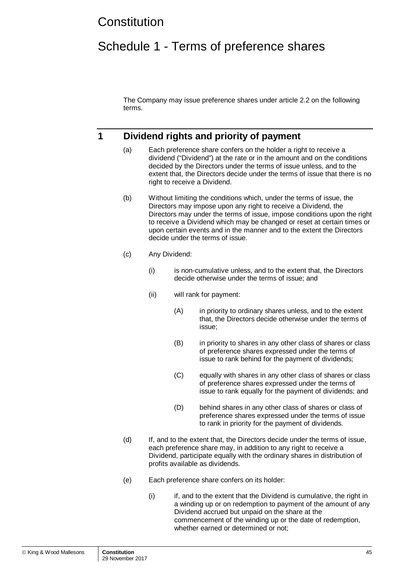## **Constitution**

## Schedule 1 - Terms of preference shares

The Company may issue preference shares under article [2.2](#page-9-0) on the following terms.

## **1 Dividend rights and priority of payment**

- (a) Each preference share confers on the holder a right to receive a dividend ("Dividend") at the rate or in the amount and on the conditions decided by the Directors under the terms of issue unless, and to the extent that, the Directors decide under the terms of issue that there is no right to receive a Dividend.
- (b) Without limiting the conditions which, under the terms of issue, the Directors may impose upon any right to receive a Dividend, the Directors may under the terms of issue, impose conditions upon the right to receive a Dividend which may be changed or reset at certain times or upon certain events and in the manner and to the extent the Directors decide under the terms of issue.
- (c) Any Dividend:
	- (i) is non-cumulative unless, and to the extent that, the Directors decide otherwise under the terms of issue; and
	- (ii) will rank for payment:
		- (A) in priority to ordinary shares unless, and to the extent that, the Directors decide otherwise under the terms of issue;
		- (B) in priority to shares in any other class of shares or class of preference shares expressed under the terms of issue to rank behind for the payment of dividends;
		- (C) equally with shares in any other class of shares or class of preference shares expressed under the terms of issue to rank equally for the payment of dividends; and
		- (D) behind shares in any other class of shares or class of preference shares expressed under the terms of issue to rank in priority for the payment of dividends.
- (d) If, and to the extent that, the Directors decide under the terms of issue, each preference share may, in addition to any right to receive a Dividend, participate equally with the ordinary shares in distribution of profits available as dividends.
- (e) Each preference share confers on its holder:
	- (i) if, and to the extent that the Dividend is cumulative, the right in a winding up or on redemption to payment of the amount of any Dividend accrued but unpaid on the share at the commencement of the winding up or the date of redemption, whether earned or determined or not;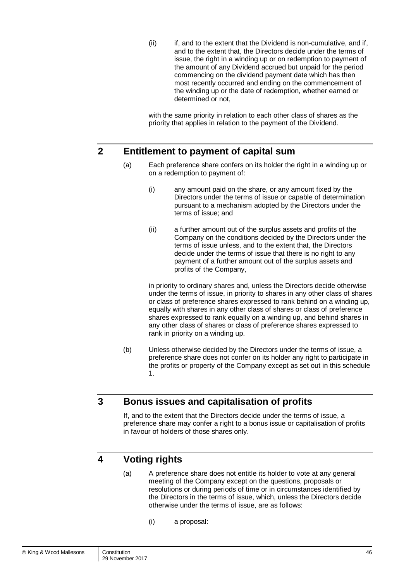(ii) if, and to the extent that the Dividend is non-cumulative, and if, and to the extent that, the Directors decide under the terms of issue, the right in a winding up or on redemption to payment of the amount of any Dividend accrued but unpaid for the period commencing on the dividend payment date which has then most recently occurred and ending on the commencement of the winding up or the date of redemption, whether earned or determined or not,

with the same priority in relation to each other class of shares as the priority that applies in relation to the payment of the Dividend.

## **2 Entitlement to payment of capital sum**

- (a) Each preference share confers on its holder the right in a winding up or on a redemption to payment of:
	- (i) any amount paid on the share, or any amount fixed by the Directors under the terms of issue or capable of determination pursuant to a mechanism adopted by the Directors under the terms of issue; and
	- (ii) a further amount out of the surplus assets and profits of the Company on the conditions decided by the Directors under the terms of issue unless, and to the extent that, the Directors decide under the terms of issue that there is no right to any payment of a further amount out of the surplus assets and profits of the Company,

in priority to ordinary shares and, unless the Directors decide otherwise under the terms of issue, in priority to shares in any other class of shares or class of preference shares expressed to rank behind on a winding up, equally with shares in any other class of shares or class of preference shares expressed to rank equally on a winding up, and behind shares in any other class of shares or class of preference shares expressed to rank in priority on a winding up.

(b) Unless otherwise decided by the Directors under the terms of issue, a preference share does not confer on its holder any right to participate in the profits or property of the Company except as set out in this schedule 1.

## **3 Bonus issues and capitalisation of profits**

If, and to the extent that the Directors decide under the terms of issue, a preference share may confer a right to a bonus issue or capitalisation of profits in favour of holders of those shares only.

## **4 Voting rights**

- (a) A preference share does not entitle its holder to vote at any general meeting of the Company except on the questions, proposals or resolutions or during periods of time or in circumstances identified by the Directors in the terms of issue, which, unless the Directors decide otherwise under the terms of issue, are as follows:
	- (i) a proposal: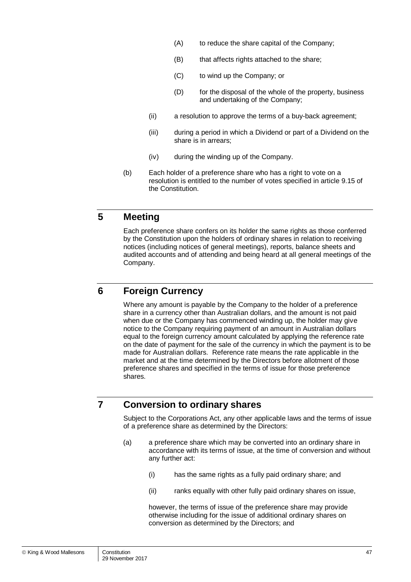- (A) to reduce the share capital of the Company;
- (B) that affects rights attached to the share;
- (C) to wind up the Company; or
- (D) for the disposal of the whole of the property, business and undertaking of the Company;
- (ii) a resolution to approve the terms of a buy-back agreement;
- (iii) during a period in which a Dividend or part of a Dividend on the share is in arrears;
- (iv) during the winding up of the Company.
- (b) Each holder of a preference share who has a right to vote on a resolution is entitled to the number of votes specified in article [9.15](#page-26-0) of the Constitution.

## **5 Meeting**

Each preference share confers on its holder the same rights as those conferred by the Constitution upon the holders of ordinary shares in relation to receiving notices (including notices of general meetings), reports, balance sheets and audited accounts and of attending and being heard at all general meetings of the Company.

## **6 Foreign Currency**

Where any amount is payable by the Company to the holder of a preference share in a currency other than Australian dollars, and the amount is not paid when due or the Company has commenced winding up, the holder may give notice to the Company requiring payment of an amount in Australian dollars equal to the foreign currency amount calculated by applying the reference rate on the date of payment for the sale of the currency in which the payment is to be made for Australian dollars. Reference rate means the rate applicable in the market and at the time determined by the Directors before allotment of those preference shares and specified in the terms of issue for those preference shares.

## **7 Conversion to ordinary shares**

Subject to the Corporations Act, any other applicable laws and the terms of issue of a preference share as determined by the Directors:

- (a) a preference share which may be converted into an ordinary share in accordance with its terms of issue, at the time of conversion and without any further act:
	- (i) has the same rights as a fully paid ordinary share; and
	- (ii) ranks equally with other fully paid ordinary shares on issue,

however, the terms of issue of the preference share may provide otherwise including for the issue of additional ordinary shares on conversion as determined by the Directors; and